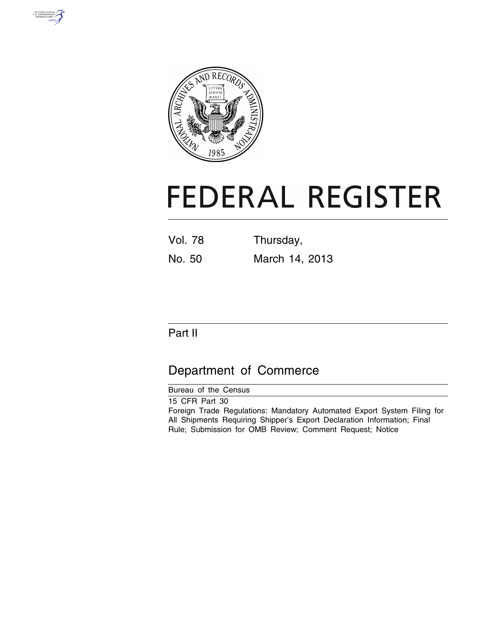



# **FEDERAL REGISTER**

| Vol. 78 | Thursday,      |
|---------|----------------|
| No. 50  | March 14, 2013 |

## Part II

## Department of Commerce

| Bureau of the Census                                                                                                                                                                                           |
|----------------------------------------------------------------------------------------------------------------------------------------------------------------------------------------------------------------|
| 15 CFR Part 30                                                                                                                                                                                                 |
| Foreign Trade Regulations: Mandatory Automated Export System Filing for<br>All Shipments Requiring Shipper's Export Declaration Information; Final<br>Rule; Submission for OMB Review; Comment Request; Notice |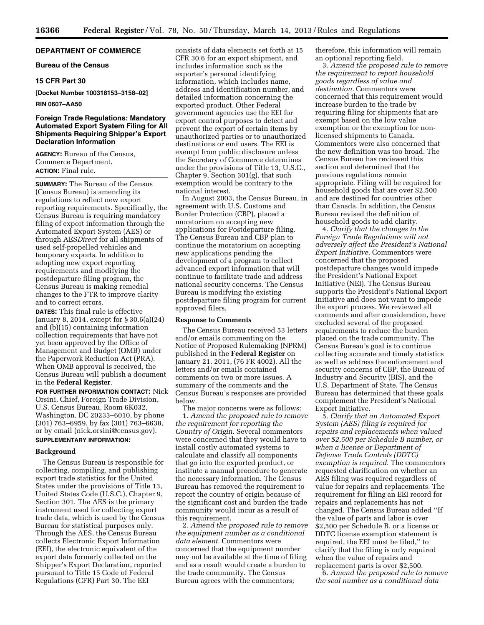### **DEPARTMENT OF COMMERCE**

#### **Bureau of the Census**

#### **15 CFR Part 30**

**[Docket Number 100318153–3158–02]** 

#### **RIN 0607–AA50**

#### **Foreign Trade Regulations: Mandatory Automated Export System Filing for All Shipments Requiring Shipper's Export Declaration Information**

**AGENCY:** Bureau of the Census, Commerce Department. **ACTION:** Final rule.

**SUMMARY:** The Bureau of the Census (Census Bureau) is amending its regulations to reflect new export reporting requirements. Specifically, the Census Bureau is requiring mandatory filing of export information through the Automated Export System (AES) or through AES*Direct* for all shipments of used self-propelled vehicles and temporary exports. In addition to adopting new export reporting requirements and modifying the postdeparture filing program, the Census Bureau is making remedial changes to the FTR to improve clarity and to correct errors.

**DATES:** This final rule is effective January 8, 2014, except for § 30.6(a)(24) and (b)(15) containing information collection requirements that have not yet been approved by the Office of Management and Budget (OMB) under the Paperwork Reduction Act (PRA). When OMB approval is received, the Census Bureau will publish a document in the **Federal Register**.

**FOR FURTHER INFORMATION CONTACT:** Nick Orsini, Chief, Foreign Trade Division, U.S. Census Bureau, Room 6K032, Washington, DC 20233–6010, by phone (301) 763–6959, by fax (301) 763–6638, or by email [\(nick.orsini@census.gov\)](mailto:nick.orsini@census.gov). **SUPPLEMENTARY INFORMATION:** 

## **Background**

The Census Bureau is responsible for collecting, compiling, and publishing export trade statistics for the United States under the provisions of Title 13, United States Code (U.S.C.), Chapter 9, Section 301. The AES is the primary instrument used for collecting export trade data, which is used by the Census Bureau for statistical purposes only. Through the AES, the Census Bureau collects Electronic Export Information (EEI), the electronic equivalent of the export data formerly collected on the Shipper's Export Declaration, reported pursuant to Title 15 Code of Federal Regulations (CFR) Part 30. The EEI

consists of data elements set forth at 15 CFR 30.6 for an export shipment, and includes information such as the exporter's personal identifying information, which includes name, address and identification number, and detailed information concerning the exported product. Other Federal government agencies use the EEI for export control purposes to detect and prevent the export of certain items by unauthorized parties or to unauthorized destinations or end users. The EEI is exempt from public disclosure unless the Secretary of Commerce determines under the provisions of Title 13, U.S.C., Chapter 9, Section 301(g), that such exemption would be contrary to the national interest.

In August 2003, the Census Bureau, in agreement with U.S. Customs and Border Protection (CBP), placed a moratorium on accepting new applications for Postdeparture filing. The Census Bureau and CBP plan to continue the moratorium on accepting new applications pending the development of a program to collect advanced export information that will continue to facilitate trade and address national security concerns. The Census Bureau is modifying the existing postdeparture filing program for current approved filers.

#### **Response to Comments**

The Census Bureau received 53 letters and/or emails commenting on the Notice of Proposed Rulemaking (NPRM) published in the **Federal Register** on January 21, 2011, (76 FR 4002). All the letters and/or emails contained comments on two or more issues. A summary of the comments and the Census Bureau's responses are provided below.

The major concerns were as follows: 1. *Amend the proposed rule to remove the requirement for reporting the Country of Origin.* Several commentors were concerned that they would have to install costly automated systems to calculate and classify all components that go into the exported product, or institute a manual procedure to generate the necessary information. The Census Bureau has removed the requirement to report the country of origin because of the significant cost and burden the trade community would incur as a result of this requirement.

2. *Amend the proposed rule to remove the equipment number as a conditional data element.* Commentors were concerned that the equipment number may not be available at the time of filing and as a result would create a burden to the trade community. The Census Bureau agrees with the commentors;

therefore, this information will remain an optional reporting field.

3. *Amend the proposed rule to remove the requirement to report household goods regardless of value and destination.* Commentors were concerned that this requirement would increase burden to the trade by requiring filing for shipments that are exempt based on the low value exemption or the exemption for nonlicensed shipments to Canada. Commentors were also concerned that the new definition was too broad. The Census Bureau has reviewed this section and determined that the previous regulations remain appropriate. Filing will be required for household goods that are over \$2,500 and are destined for countries other than Canada. In addition, the Census Bureau revised the definition of household goods to add clarity.

4. *Clarify that the changes to the Foreign Trade Regulations will not adversely affect the President's National Export Initiative.* Commentors were concerned that the proposed postdeparture changes would impede the President's National Export Initiative (NEI). The Census Bureau supports the President's National Export Initiative and does not want to impede the export process. We reviewed all comments and after consideration, have excluded several of the proposed requirements to reduce the burden placed on the trade community. The Census Bureau's goal is to continue collecting accurate and timely statistics as well as address the enforcement and security concerns of CBP, the Bureau of Industry and Security (BIS), and the U.S. Department of State. The Census Bureau has determined that these goals complement the President's National Export Initiative.

5. *Clarify that an Automated Export System (AES) filing is required for repairs and replacements when valued over \$2,500 per Schedule B number, or when a license or Department of Defense Trade Controls (DDTC) exemption is required.* The commentors requested clarification on whether an AES filing was required regardless of value for repairs and replacements. The requirement for filing an EEI record for repairs and replacements has not changed. The Census Bureau added ''If the value of parts and labor is over \$2,500 per Schedule B, or a license or DDTC license exemption statement is required, the EEI must be filed,'' to clarify that the filing is only required when the value of repairs and replacement parts is over \$2,500.

6. *Amend the proposed rule to remove the seal number as a conditional data*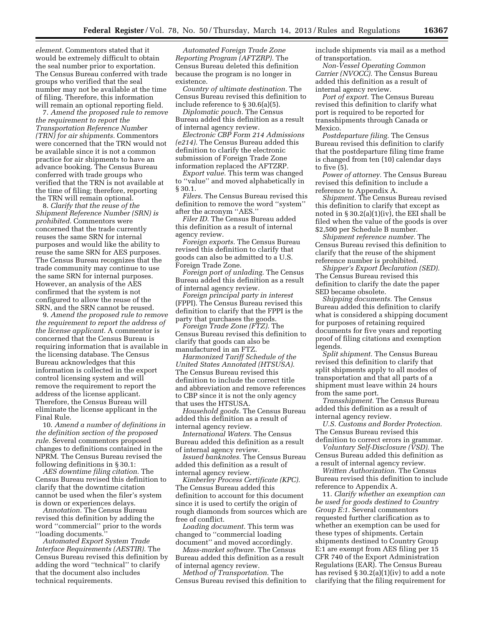*element.* Commentors stated that it would be extremely difficult to obtain the seal number prior to exportation. The Census Bureau conferred with trade groups who verified that the seal number may not be available at the time of filing. Therefore, this information will remain an optional reporting field.

7. *Amend the proposed rule to remove the requirement to report the Transportation Reference Number (TRN) for air shipments.* Commentors were concerned that the TRN would not be available since it is not a common practice for air shipments to have an advance booking. The Census Bureau conferred with trade groups who verified that the TRN is not available at the time of filing; therefore, reporting the TRN will remain optional.

8. *Clarify that the reuse of the Shipment Reference Number (SRN) is prohibited.* Commentors were concerned that the trade currently reuses the same SRN for internal purposes and would like the ability to reuse the same SRN for AES purposes. The Census Bureau recognizes that the trade community may continue to use the same SRN for internal purposes. However, an analysis of the AES confirmed that the system is not configured to allow the reuse of the SRN, and the SRN cannot be reused.

9. *Amend the proposed rule to remove the requirement to report the address of the license applicant.* A commentor is concerned that the Census Bureau is requiring information that is available in the licensing database. The Census Bureau acknowledges that this information is collected in the export control licensing system and will remove the requirement to report the address of the license applicant. Therefore, the Census Bureau will eliminate the license applicant in the Final Rule.

10. *Amend a number of definitions in the definition section of the proposed rule.* Several commentors proposed changes to definitions contained in the NPRM. The Census Bureau revised the following definitions in § 30.1:

*AES downtime filing citation.* The Census Bureau revised this definition to clarify that the downtime citation cannot be used when the filer's system is down or experiences delays.

*Annotation.* The Census Bureau revised this definition by adding the word ''commercial'' prior to the words ''loading documents.''

*Automated Export System Trade Interface Requirements (AESTIR).* The Census Bureau revised this definition by adding the word ''technical'' to clarify that the document also includes technical requirements.

*Automated Foreign Trade Zone Reporting Program (AFTZRP).* The Census Bureau deleted this definition because the program is no longer in existence.

*Country of ultimate destination.* The Census Bureau revised this definition to include reference to § 30.6(a)(5).

*Diplomatic pouch.* The Census Bureau added this definition as a result of internal agency review.

*Electronic CBP Form 214 Admissions (e214).* The Census Bureau added this definition to clarify the electronic submission of Foreign Trade Zone information replaced the AFTZRP.

*Export value.* This term was changed to ''value'' and moved alphabetically in § 30.1.

*Filers.* The Census Bureau revised this definition to remove the word ''system'' after the acronym ''AES.''

*Filer ID.* The Census Bureau added this definition as a result of internal agency review.

*Foreign exports.* The Census Bureau revised this definition to clarify that goods can also be admitted to a U.S. Foreign Trade Zone.

*Foreign port of unlading.* The Census Bureau added this definition as a result of internal agency review.

*Foreign principal party in interest*  (FPPI). The Census Bureau revised this definition to clarify that the FPPI is the party that purchases the goods.

*Foreign Trade Zone (FTZ).* The Census Bureau revised this definition to clarify that goods can also be manufactured in an FTZ.

*Harmonized Tariff Schedule of the United States Annotated (HTSUSA).*  The Census Bureau revised this definition to include the correct title and abbreviation and remove references to CBP since it is not the only agency that uses the HTSUSA.

*Household goods.* The Census Bureau added this definition as a result of internal agency review.

*International Waters.* The Census Bureau added this definition as a result of internal agency review.

*Issued banknotes.* The Census Bureau added this definition as a result of internal agency review.

*Kimberley Process Certificate (KPC).*  The Census Bureau added this definition to account for this document since it is used to certify the origin of rough diamonds from sources which are free of conflict.

*Loading document.* This term was changed to ''commercial loading document'' and moved accordingly.

*Mass-market software.* The Census Bureau added this definition as a result of internal agency review.

*Method of Transportation.* The Census Bureau revised this definition to include shipments via mail as a method of transportation.

*Non-Vessel Operating Common Carrier (NVOCC).* The Census Bureau added this definition as a result of internal agency review.

*Port of export.* The Census Bureau revised this definition to clarify what port is required to be reported for transshipments through Canada or Mexico.

*Postdeparture filing.* The Census Bureau revised this definition to clarify that the postdeparture filing time frame is changed from ten (10) calendar days to five (5).

*Power of attorney.* The Census Bureau revised this definition to include a reference to Appendix A.

*Shipment.* The Census Bureau revised this definition to clarify that except as noted in  $\S 30.2(a)(1)(iv)$ , the EEI shall be filed when the value of the goods is over \$2,500 per Schedule B number.

*Shipment reference number.* The Census Bureau revised this definition to clarify that the reuse of the shipment reference number is prohibited.

*Shipper's Export Declaration (SED).*  The Census Bureau revised this definition to clarify the date the paper SED became obsolete.

*Shipping documents.* The Census Bureau added this definition to clarify what is considered a shipping document for purposes of retaining required documents for five years and reporting proof of filing citations and exemption legends.

*Split shipment.* The Census Bureau revised this definition to clarify that split shipments apply to all modes of transportation and that all parts of a shipment must leave within 24 hours from the same port.

*Transshipment.* The Census Bureau added this definition as a result of internal agency review.

*U.S. Customs and Border Protection.*  The Census Bureau revised this definition to correct errors in grammar.

*Voluntary Self-Disclosure (VSD).* The Census Bureau added this definition as a result of internal agency review.

*Written Authorization.* The Census Bureau revised this definition to include reference to Appendix A.

11. *Clarify whether an exemption can be used for goods destined to Country Group E:1.* Several commentors requested further clarification as to whether an exemption can be used for these types of shipments. Certain shipments destined to Country Group E:1 are exempt from AES filing per 15 CFR 740 of the Export Administration Regulations (EAR). The Census Bureau has revised § 30.2(a)(1)(iv) to add a note clarifying that the filing requirement for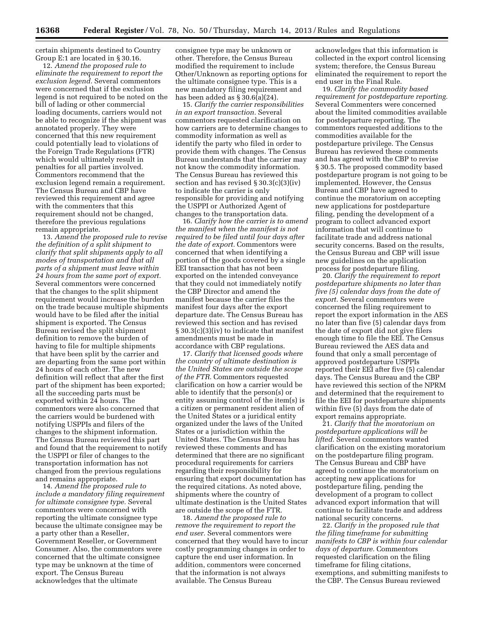certain shipments destined to Country Group E:1 are located in § 30.16.

12. *Amend the proposed rule to eliminate the requirement to report the exclusion legend.* Several commentors were concerned that if the exclusion legend is not required to be noted on the bill of lading or other commercial loading documents, carriers would not be able to recognize if the shipment was annotated properly. They were concerned that this new requirement could potentially lead to violations of the Foreign Trade Regulations (FTR) which would ultimately result in penalties for all parties involved. Commentors recommend that the exclusion legend remain a requirement. The Census Bureau and CBP have reviewed this requirement and agree with the commenters that this requirement should not be changed, therefore the previous regulations remain appropriate.

13. *Amend the proposed rule to revise the definition of a split shipment to clarify that split shipments apply to all modes of transportation and that all parts of a shipment must leave within 24 hours from the same port of export.*  Several commentors were concerned that the changes to the split shipment requirement would increase the burden on the trade because multiple shipments would have to be filed after the initial shipment is exported. The Census Bureau revised the split shipment definition to remove the burden of having to file for multiple shipments that have been split by the carrier and are departing from the same port within 24 hours of each other. The new definition will reflect that after the first part of the shipment has been exported; all the succeeding parts must be exported within 24 hours. The commentors were also concerned that the carriers would be burdened with notifying USPPIs and filers of the changes to the shipment information. The Census Bureau reviewed this part and found that the requirement to notify the USPPI or filer of changes to the transportation information has not changed from the previous regulations and remains appropriate.

14. *Amend the proposed rule to include a mandatory filing requirement for ultimate consignee type.* Several commentors were concerned with reporting the ultimate consignee type because the ultimate consignee may be a party other than a Reseller, Government Reseller, or Government Consumer. Also, the commentors were concerned that the ultimate consignee type may be unknown at the time of export. The Census Bureau acknowledges that the ultimate

consignee type may be unknown or other. Therefore, the Census Bureau modified the requirement to include Other/Unknown as reporting options for the ultimate consignee type. This is a new mandatory filing requirement and has been added as § 30.6(a)(24).

15. *Clarify the carrier responsibilities in an export transaction.* Several commentors requested clarification on how carriers are to determine changes to commodity information as well as identify the party who filed in order to provide them with changes. The Census Bureau understands that the carrier may not know the commodity information. The Census Bureau has reviewed this section and has revised § 30.3(c)(3)(iv) to indicate the carrier is only responsible for providing and notifying the USPPI or Authorized Agent of changes to the transportation data.

16. *Clarify how the carrier is to amend the manifest when the manifest is not required to be filed until four days after the date of export.* Commentors were concerned that when identifying a portion of the goods covered by a single EEI transaction that has not been exported on the intended conveyance that they could not immediately notify the CBP Director and amend the manifest because the carrier files the manifest four days after the export departure date. The Census Bureau has reviewed this section and has revised § 30.3(c)(3)(iv) to indicate that manifest amendments must be made in accordance with CBP regulations.

17. *Clarify that licensed goods where the country of ultimate destination is the United States are outside the scope of the FTR.* Commentors requested clarification on how a carrier would be able to identify that the person(s) or entity assuming control of the item(s) is a citizen or permanent resident alien of the United States or a juridical entity organized under the laws of the United States or a jurisdiction within the United States. The Census Bureau has reviewed these comments and has determined that there are no significant procedural requirements for carriers regarding their responsibility for ensuring that export documentation has the required citations. As noted above, shipments where the country of ultimate destination is the United States are outside the scope of the FTR.

18. *Amend the proposed rule to remove the requirement to report the end user.* Several commentors were concerned that they would have to incur costly programming changes in order to capture the end user information. In addition, commentors were concerned that the information is not always available. The Census Bureau

acknowledges that this information is collected in the export control licensing system; therefore, the Census Bureau eliminated the requirement to report the end user in the Final Rule.

19. *Clarify the commodity based requirement for postdeparture reporting.*  Several Commenters were concerned about the limited commodities available for postdeparture reporting. The commentors requested additions to the commodities available for the postdeparture privilege. The Census Bureau has reviewed these comments and has agreed with the CBP to revise § 30.5. The proposed commodity based postdeparture program is not going to be implemented. However, the Census Bureau and CBP have agreed to continue the moratorium on accepting new applications for postdeparture filing, pending the development of a program to collect advanced export information that will continue to facilitate trade and address national security concerns. Based on the results, the Census Bureau and CBP will issue new guidelines on the application process for postdeparture filing.

20. *Clarify the requirement to report postdeparture shipments no later than five (5) calendar days from the date of export.* Several commentors were concerned the filing requirement to report the export information in the AES no later than five (5) calendar days from the date of export did not give filers enough time to file the EEI. The Census Bureau reviewed the AES data and found that only a small percentage of approved postdeparture USPPIs reported their EEI after five (5) calendar days. The Census Bureau and the CBP have reviewed this section of the NPRM and determined that the requirement to file the EEI for postdeparture shipments within five (5) days from the date of export remains appropriate.

21. *Clarify that the moratorium on postdeparture applications will be lifted.* Several commentors wanted clarification on the existing moratorium on the postdeparture filing program. The Census Bureau and CBP have agreed to continue the moratorium on accepting new applications for postdeparture filing, pending the development of a program to collect advanced export information that will continue to facilitate trade and address national security concerns.

22. *Clarify in the proposed rule that the filing timeframe for submitting manifests to CBP is within four calendar days of departure.* Commentors requested clarification on the filing timeframe for filing citations, exemptions, and submitting manifests to the CBP. The Census Bureau reviewed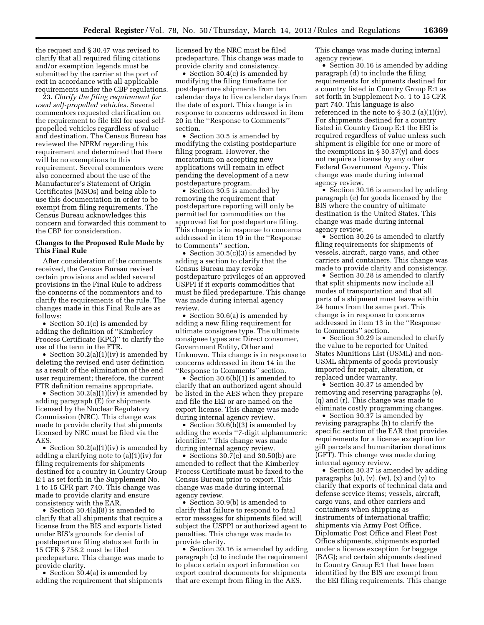the request and § 30.47 was revised to clarify that all required filing citations and/or exemption legends must be submitted by the carrier at the port of exit in accordance with all applicable requirements under the CBP regulations.

23. *Clarify the filing requirement for used self-propelled vehicles.* Several commentors requested clarification on the requirement to file EEI for used selfpropelled vehicles regardless of value and destination. The Census Bureau has reviewed the NPRM regarding this requirement and determined that there will be no exemptions to this requirement. Several commentors were also concerned about the use of the Manufacturer's Statement of Origin Certificates (MSOs) and being able to use this documentation in order to be exempt from filing requirements. The Census Bureau acknowledges this concern and forwarded this comment to the CBP for consideration.

#### **Changes to the Proposed Rule Made by This Final Rule**

After consideration of the comments received, the Census Bureau revised certain provisions and added several provisions in the Final Rule to address the concerns of the commentors and to clarify the requirements of the rule. The changes made in this Final Rule are as follows:

• Section 30.1(c) is amended by adding the definition of ''Kimberley Process Certificate (KPC)'' to clarify the use of the term in the FTR.

• Section 30.2(a)(1)(iv) is amended by deleting the revised end user definition as a result of the elimination of the end user requirement; therefore, the current FTR definition remains appropriate.

• Section  $30.2(a)(1)(iv)$  is amended by adding paragraph (E) for shipments licensed by the Nuclear Regulatory Commission (NRC). This change was made to provide clarity that shipments licensed by NRC must be filed via the AES.

• Section 30.2(a)(1)(iv) is amended by adding a clarifying note to (a)(1)(iv) for filing requirements for shipments destined for a country in Country Group E:1 as set forth in the Supplement No. 1 to 15 CFR part 740. This change was made to provide clarity and ensure consistency with the EAR.

• Section 30.4(a)(8) is amended to clarify that all shipments that require a license from the BIS and exports listed under BIS's grounds for denial of postdeparture filing status set forth in 15 CFR § 758.2 must be filed predeparture. This change was made to provide clarity.

• Section 30.4(a) is amended by adding the requirement that shipments licensed by the NRC must be filed predeparture. This change was made to provide clarity and consistency.

• Section 30.4(c) is amended by modifying the filing timeframe for postdeparture shipments from ten calendar days to five calendar days from the date of export. This change is in response to concerns addressed in item 20 in the ''Response to Comments'' section.

• Section 30.5 is amended by modifying the existing postdeparture filing program. However, the moratorium on accepting new applications will remain in effect pending the development of a new postdeparture program.

• Section 30.5 is amended by removing the requirement that postdeparture reporting will only be permitted for commodities on the approved list for postdeparture filing. This change is in response to concerns addressed in item 19 in the ''Response to Comments'' section.

• Section 30.5(c)(3) is amended by adding a section to clarify that the Census Bureau may revoke postdeparture privileges of an approved USPPI if it exports commodities that must be filed predeparture. This change was made during internal agency review.

• Section 30.6(a) is amended by adding a new filing requirement for ultimate consignee type. The ultimate consignee types are: Direct consumer, Government Entity, Other and Unknown. This change is in response to concerns addressed in item 14 in the ''Response to Comments'' section.

• Section 30.6(b)(1) is amended to clarify that an authorized agent should be listed in the AES when they prepare and file the EEI or are named on the export license. This change was made during internal agency review.

• Section 30.6(b)(3) is amended by adding the words ''7-digit alphanumeric identifier.'' This change was made during internal agency review.

• Sections  $30.7(c)$  and  $30.50(b)$  are amended to reflect that the Kimberley Process Certificate must be faxed to the Census Bureau prior to export. This change was made during internal agency review.

• Section 30.9(b) is amended to clarify that failure to respond to fatal error messages for shipments filed will subject the USPPI or authorized agent to penalties. This change was made to provide clarity.

• Section 30.16 is amended by adding paragraph (c) to include the requirement to place certain export information on export control documents for shipments that are exempt from filing in the AES.

This change was made during internal agency review.

• Section 30.16 is amended by adding paragraph (d) to include the filing requirements for shipments destined for a country listed in Country Group E:1 as set forth in Supplement No. 1 to 15 CFR part 740. This language is also referenced in the note to  $\S 30.2$  (a)(1)(iv). For shipments destined for a country listed in Country Group E:1 the EEI is required regardless of value unless such shipment is eligible for one or more of the exemptions in  $\S 30.37(y)$  and does not require a license by any other Federal Government Agency. This change was made during internal agency review.

• Section 30.16 is amended by adding paragraph (e) for goods licensed by the BIS where the country of ultimate destination is the United States. This change was made during internal agency review.

• Section 30.26 is amended to clarify filing requirements for shipments of vessels, aircraft, cargo vans, and other carriers and containers. This change was made to provide clarity and consistency.

• Section 30.28 is amended to clarify that split shipments now include all modes of transportation and that all parts of a shipment must leave within 24 hours from the same port. This change is in response to concerns addressed in item 13 in the ''Response to Comments'' section.

• Section 30.29 is amended to clarify the value to be reported for United States Munitions List (USML) and non-USML shipments of goods previously imported for repair, alteration, or replaced under warranty.

• Section 30.37 is amended by removing and reserving paragraphs (e), (q) and (r). This change was made to eliminate costly programming changes.

• Section 30.37 is amended by revising paragraphs (h) to clarify the specific section of the EAR that provides requirements for a license exception for gift parcels and humanitarian donations (GFT). This change was made during internal agency review.

• Section 30.37 is amended by adding paragraphs  $(u)$ ,  $(v)$ ,  $(w)$ ,  $(x)$  and  $(y)$  to clarify that exports of technical data and defense service items; vessels, aircraft, cargo vans, and other carriers and containers when shipping as instruments of international traffic; shipments via Army Post Office, Diplomatic Post Office and Fleet Post Office shipments, shipments exported under a license exception for baggage (BAG); and certain shipments destined to Country Group E:1 that have been identified by the BIS are exempt from the EEI filing requirements. This change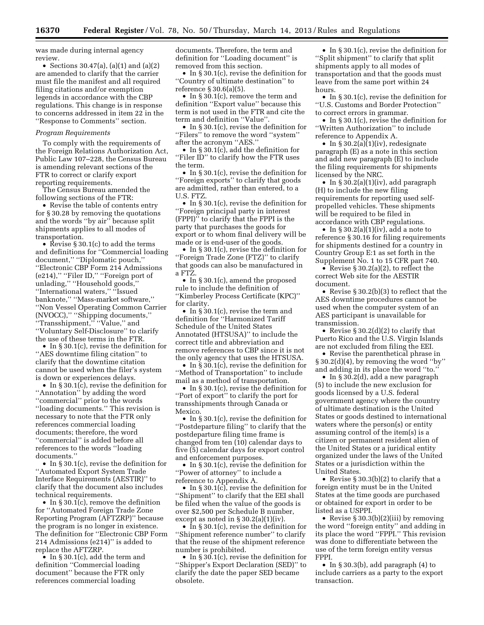was made during internal agency review.

• Sections 30.47(a), (a)(1) and (a)(2) are amended to clarify that the carrier must file the manifest and all required filing citations and/or exemption legends in accordance with the CBP regulations. This change is in response to concerns addressed in item 22 in the ''Response to Comments'' section.

#### *Program Requirements*

To comply with the requirements of the Foreign Relations Authorization Act, Public Law 107–228, the Census Bureau is amending relevant sections of the FTR to correct or clarify export reporting requirements.

The Census Bureau amended the following sections of the FTR:

• Revise the table of contents entry for § 30.28 by removing the quotations and the words ''by air'' because split shipments applies to all modes of transportation.

• Revise § 30.1(c) to add the terms and definitions for ''Commercial loading document,'' ''Diplomatic pouch,'' ''Electronic CBP Form 214 Admissions (e214),'' ''Filer ID,'' ''Foreign port of unlading,'' ''Household goods,'' ''International waters,'' ''Issued banknote,'' ''Mass-market software,'' ''Non Vessel Operating Common Carrier (NVOCC),'' ''Shipping documents,'' ''Transshipment,'' ''Value,'' and ''Voluntary Self-Disclosure'' to clarify the use of these terms in the FTR.

• In § 30.1(c), revise the definition for "AES downtime filing citation" to clarify that the downtime citation cannot be used when the filer's system is down or experiences delays.

• In § 30.1(c), revise the definition for ''Annotation'' by adding the word ''commercial'' prior to the words ''loading documents.'' This revision is necessary to note that the FTR only references commercial loading documents; therefore, the word ''commercial'' is added before all references to the words ''loading documents.''

• In § 30.1(c), revise the definition for ''Automated Export System Trade Interface Requirements (AESTIR)'' to clarify that the document also includes technical requirements.

• In § 30.1(c), remove the definition for ''Automated Foreign Trade Zone Reporting Program (AFTZRP)'' because the program is no longer in existence. The definition for ''Electronic CBP Form 214 Admissions (e214)'' is added to replace the AFTZRP.

• In § 30.1(c), add the term and definition ''Commercial loading document'' because the FTR only references commercial loading

documents. Therefore, the term and definition for ''Loading document'' is removed from this section.

• In § 30.1(c), revise the definition for ''Country of ultimate destination'' to reference § 30.6(a)(5).

• In § 30.1(c), remove the term and definition ''Export value'' because this term is not used in the FTR and cite the term and definition ''Value''.

• In § 30.1(c), revise the definition for ''Filers'' to remove the word ''system'' after the acronym ''AES.''

• In § 30.1(c), add the definition for 'Filer ID" to clarify how the FTR uses the term.

• In § 30.1(c), revise the definition for ''Foreign exports'' to clarify that goods are admitted, rather than entered, to a U.S. FTZ.

• In § 30.1(c), revise the definition for ''Foreign principal party in interest (FPPI)'' to clarify that the FPPI is the party that purchases the goods for export or to whom final delivery will be made or is end-user of the goods.

• In § 30.1(c), revise the definition for ''Foreign Trade Zone (FTZ)'' to clarify that goods can also be manufactured in a FTZ.

• In § 30.1(c), amend the proposed rule to include the definition of ''Kimberley Process Certificate (KPC)'' for clarity.

• In § 30.1(c), revise the term and definition for ''Harmonized Tariff Schedule of the United States Annotated (HTSUSA)'' to include the correct title and abbreviation and remove references to CBP since it is not the only agency that uses the HTSUSA.

• In § 30.1(c), revise the definition for ''Method of Transportation'' to include mail as a method of transportation.

• In § 30.1(c), revise the definition for ''Port of export'' to clarify the port for transshipments through Canada or Mexico.

• In § 30.1(c), revise the definition for ''Postdeparture filing'' to clarify that the postdeparture filing time frame is changed from ten (10) calendar days to five (5) calendar days for export control and enforcement purposes.

• In § 30.1(c), revise the definition for ''Power of attorney'' to include a reference to Appendix A.

• In § 30.1(c), revise the definition for ''Shipment'' to clarify that the EEI shall be filed when the value of the goods is over \$2,500 per Schedule B number, except as noted in § 30.2(a)(1)(iv).

• In § 30.1(c), revise the definition for ''Shipment reference number'' to clarify that the reuse of the shipment reference number is prohibited.

• In § 30.1(c), revise the definition for ''Shipper's Export Declaration (SED)'' to clarify the date the paper SED became obsolete.

• In § 30.1(c), revise the definition for ''Split shipment'' to clarify that split shipments apply to all modes of transportation and that the goods must leave from the same port within 24 hours.

• In § 30.1(c), revise the definition for ''U.S. Customs and Border Protection'' to correct errors in grammar.

• In § 30.1(c), revise the definition for ''Written Authorization'' to include reference to Appendix A.

• In § 30.2(a)(1)(iv), redesignate paragraph (E) as a note in this section and add new paragraph (E) to include the filing requirements for shipments licensed by the NRC.

• In § 30.2(a)(1)(iv), add paragraph (H) to include the new filing requirements for reporting used selfpropelled vehicles. These shipments will be required to be filed in accordance with CBP regulations.

• In  $\S 30.2(a)(1)(iv)$ , add a note to reference § 30.16 for filing requirements for shipments destined for a country in Country Group E:1 as set forth in the Supplement No. 1 to 15 CFR part 740.

• Revise § 30.2(a)(2), to reflect the correct Web site for the AESTIR document.

• Revise § 30.2(b)(3) to reflect that the AES downtime procedures cannot be used when the computer system of an AES participant is unavailable for transmission.

• Revise § 30.2(d)(2) to clarify that Puerto Rico and the U.S. Virgin Islands are not excluded from filing the EEI.

• Revise the parenthetical phrase in  $\S 30.2(d)(4)$ , by removing the word "by" and adding in its place the word ''to.''

• In § 30.2(d), add a new paragraph (5) to include the new exclusion for goods licensed by a U.S. federal government agency where the country of ultimate destination is the United States or goods destined to international waters where the person(s) or entity assuming control of the item(s) is a citizen or permanent resident alien of the United States or a juridical entity organized under the laws of the United States or a jurisdiction within the United States.

• Revise § 30.3(b)(2) to clarify that a foreign entity must be in the United States at the time goods are purchased or obtained for export in order to be listed as a USPPI.

• Revise § 30.3(b)(2)(iii) by removing the word ''foreign entity'' and adding in its place the word ''FPPI.'' This revision was done to differentiate between the use of the term foreign entity versus FPPI.

• In § 30.3(b), add paragraph (4) to include carriers as a party to the export transaction.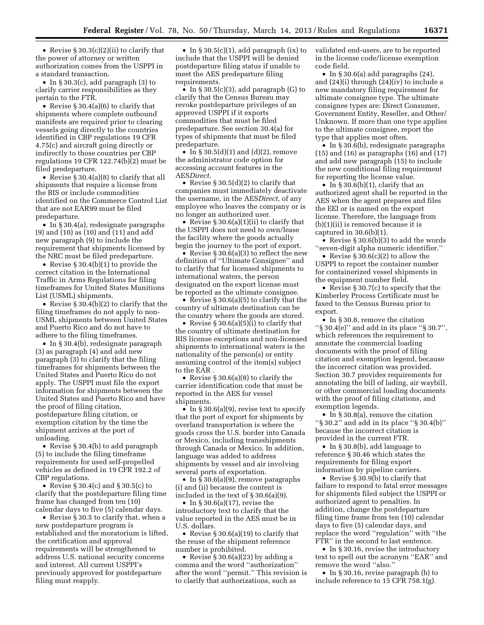• Revise § 30.3(c)(2)(ii) to clarify that the power of attorney or written authorization comes from the USPPI in a standard transaction.

• In § 30.3(c), add paragraph (3) to clarify carrier responsibilities as they pertain to the FTR.

• Revise § 30.4(a)(6) to clarify that shipments where complete outbound manifests are required prior to clearing vessels going directly to the countries identified in CBP regulations 19 CFR 4.75(c) and aircraft going directly or indirectly to those countries per CBP regulations 19 CFR 122.74(b)(2) must be filed predeparture.

• Revise § 30.4(a)(8) to clarify that all shipments that require a license from the BIS or include commodities identified on the Commerce Control List that are not EAR99 must be filed predeparture.

• In § 30.4(a), redesignate paragraphs (9) and (10) as (10) and (11) and add new paragraph (9) to include the requirement that shipments licensed by the NRC must be filed predeparture.

• Revise § 30.4(b)(1) to provide the correct citation in the International Traffic in Arms Regulations for filing timeframes for United States Munitions List (USML) shipments.

• Revise § 30.4(b)(2) to clarify that the filing timeframes do not apply to non-USML shipments between United States and Puerto Rico and do not have to adhere to the filing timeframes.

• In § 30.4(b), redesignate paragraph (3) as paragraph (4) and add new paragraph (3) to clarify that the filing timeframes for shipments between the United States and Puerto Rico do not apply. The USPPI must file the export information for shipments between the United States and Puerto Rico and have the proof of filing citation, postdeparture filing citation, or exemption citation by the time the shipment arrives at the port of unloading.

• Revise § 30.4(b) to add paragraph (5) to include the filing timeframe requirements for used self-propelled vehicles as defined in 19 CFR 192.2 of CBP regulations.

• Revise § 30.4(c) and § 30.5(c) to clarify that the postdeparture filing time frame has changed from ten (10) calendar days to five (5) calendar days.

• Revise § 30.5 to clarify that, when a new postdeparture program is established and the moratorium is lifted, the certification and approval requirements will be strengthened to address U.S. national security concerns and interest. All current USPPI's previously approved for postdeparture filing must reapply.

• In § 30.5(c)(1), add paragraph (ix) to include that the USPPI will be denied postdeparture filing status if unable to meet the AES predeparture filing requirements.

• In  $\S 30.5(c)(3)$ , add paragraph (G) to clarify that the Census Bureau may revoke postdeparture privileges of an approved USPPI if it exports commodities that must be filed predeparture. See section 30.4(a) for types of shipments that must be filed predeparture.

• In  $\S 30.5(d)(1)$  and  $(d)(2)$ , remove the administrator code option for accessing account features in the AES*Direct.* 

• Revise § 30.5(d)(2) to clarify that companies must immediately deactivate the username, in the AES*Direct,* of any employee who leaves the company or is no longer an authorized user.

• Revise § 30.6(a)(1)(ii) to clarify that the USPPI does not need to own/lease the facility where the goods actually begin the journey to the port of export.

• Revise § 30.6(a)(3) to reflect the new definition of ''Ultimate Consignee'' and to clarify that for licensed shipments to international waters, the person designated on the export license must be reported as the ultimate consignee.

• Revise § 30.6(a)(5) to clarify that the country of ultimate destination can be the country where the goods are stored.

• Revise  $\S 30.6(a)(5)(i)$  to clarify that the country of ultimate destination for BIS license exceptions and non-licensed shipments to international waters is the nationality of the person(s) or entity assuming control of the item(s) subject to the EAR .

• Revise § 30.6(a)(8) to clarify the carrier identification code that must be reported in the AES for vessel shipments.

• In  $\S 30.6(a)(9)$ , revise text to specify that the port of export for shipments by overland transportation is where the goods cross the U.S. border into Canada or Mexico, including transshipments through Canada or Mexico. In addition, language was added to address shipments by vessel and air involving several ports of exportation.

• In  $\hat{\S}$  30.6(a)(9), remove paragraphs (i) and (ii) because the content is included in the text of § 30.6(a)(9).

• In  $\S 30.6(a)(17)$ , revise the introductory text to clarify that the value reported in the AES must be in U.S. dollars.

• Revise § 30.6(a)(19) to clarify that the reuse of the shipment reference number is prohibited.

• Revise § 30.6(a)(23) by adding a comma and the word ''authorization'' after the word ''permit.'' This revision is to clarify that authorizations, such as

validated end-users, are to be reported in the license code/license exemption code field.

• In § 30.6(a) add paragraphs (24), and (24)(i) through (24)(iv) to include a new mandatory filing requirement for ultimate consignee type. The ultimate consignee types are: Direct Consumer, Government Entity, Reseller, and Other/ Unknown. If more than one type applies to the ultimate consignee, report the type that applies most often.

• In § 30.6(b), redesignate paragraphs (15) and (16) as paragraphs (16) and (17) and add new paragraph (15) to include the new conditional filing requirement for reporting the license value.

• In  $\S 30.6(b)(1)$ , clarify that an authorized agent shall be reported in the AES when the agent prepares and files the EEI or is named on the export license. Therefore, the language from (b)(1)(ii) is removed because it is captured in  $30.6(b)(1)$ .

• Revise § 30.6(b)(3) to add the words ''seven-digit alpha numeric identifier.''

• Revise § 30.6(c)(2) to allow the USPPI to report the container number for containerized vessel shipments in the equipment number field.

• Revise § 30.7(c) to specify that the Kimberley Process Certificate must be faxed to the Census Bureau prior to export.

• In § 30.8, remove the citation ''§ 30.4(e)'' and add in its place ''§ 30.7'', which references the requirement to annotate the commercial loading documents with the proof of filing citation and exemption legend, because the incorrect citation was provided. Section 30.7 provides requirements for annotating the bill of lading, air waybill, or other commercial loading documents with the proof of filing citations, and exemption legends.

• In § 30.8(a), remove the citation ''§ 30.2'' and add in its place ''§ 30.4(b)'' because the incorrect citation is provided in the current FTR.

• In § 30.8(b), add language to reference § 30.46 which states the requirements for filing export information by pipeline carriers.

• Revise § 30.9(b) to clarify that failure to respond to fatal error messages for shipments filed subject the USPPI or authorized agent to penalties. In addition, change the postdeparture filing time frame from ten (10) calendar days to five (5) calendar days, and replace the word ''regulation'' with ''the FTR'' in the second to last sentence.

• In § 30.16, revise the introductory text to spell out the acronym ''EAR'' and remove the word ''also.''

• In § 30.16, revise paragraph (b) to include reference to 15 CFR 758.1(g).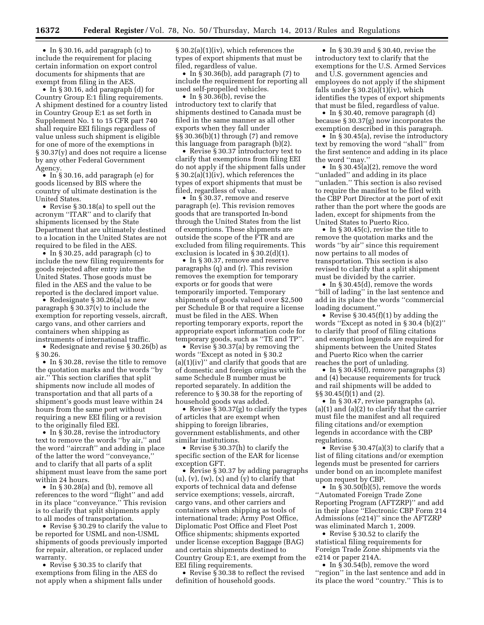• In § 30.16, add paragraph (c) to include the requirement for placing certain information on export control documents for shipments that are exempt from filing in the AES.

• In § 30.16, add paragraph (d) for Country Group E:1 filing requirements. A shipment destined for a country listed in Country Group E:1 as set forth in Supplement No. 1 to 15 CFR part 740 shall require EEI filings regardless of value unless such shipment is eligible for one of more of the exemptions in § 30.37(y) and does not require a license by any other Federal Government Agency.

• In § 30.16, add paragraph (e) for goods licensed by BIS where the country of ultimate destination is the United States.

• Revise § 30.18(a) to spell out the acronym ''ITAR'' and to clarify that shipments licensed by the State Department that are ultimately destined to a location in the United States are not required to be filed in the AES.

• In § 30.25, add paragraph (c) to include the new filing requirements for goods rejected after entry into the United States. Those goods must be filed in the AES and the value to be reported is the declared import value.

• Redesignate § 30.26(a) as new paragraph § 30.37(v) to include the exemption for reporting vessels, aircraft, cargo vans, and other carriers and containers when shipping as instruments of international traffic.

• Redesignate and revise § 30.26(b) as § 30.26.

• In § 30.28, revise the title to remove the quotation marks and the words ''by air.'' This section clarifies that split shipments now include all modes of transportation and that all parts of a shipment's goods must leave within 24 hours from the same port without requiring a new EEI filing or a revision to the originally filed EEI.

• In § 30.28, revise the introductory text to remove the words ''by air,'' and the word ''aircraft'' and adding in place of the latter the word ''conveyance,'' and to clarify that all parts of a split shipment must leave from the same port within 24 hours.

• In § 30.28(a) and (b), remove all references to the word ''flight'' and add in its place ''conveyance.'' This revision is to clarify that split shipments apply to all modes of transportation.

• Revise § 30.29 to clarify the value to be reported for USML and non-USML shipments of goods previously imported for repair, alteration, or replaced under warranty.

• Revise § 30.35 to clarify that exemptions from filing in the AES do not apply when a shipment falls under § 30.2(a)(1)(iv), which references the types of export shipments that must be filed, regardless of value.

• In § 30.36(b), add paragraph (7) to include the requirement for reporting all used self-propelled vehicles.

• In § 30.36(b), revise the introductory text to clarify that shipments destined to Canada must be filed in the same manner as all other exports when they fall under §§ 30.36(b)(1) through (7) and remove this language from paragraph (b)(2).

• Revise § 30.37 introductory text to clarify that exemptions from filing EEI do not apply if the shipment falls under § 30.2(a)(1)(iv), which references the types of export shipments that must be filed, regardless of value.

• In § 30.37, remove and reserve paragraph (e). This revision removes goods that are transported In-bond through the United States from the list of exemptions. These shipments are outside the scope of the FTR and are excluded from filing requirements. This exclusion is located in § 30.2(d)(1).

• In § 30.37, remove and reserve paragraphs (q) and (r). This revision removes the exemption for temporary exports or for goods that were temporarily imported. Temporary shipments of goods valued over \$2,500 per Schedule B or that require a license must be filed in the AES. When reporting temporary exports, report the appropriate export information code for temporary goods, such as ''TE and TP''.

• Revise § 30.37(a) by removing the words ''Except as noted in § 30.2  $(a)(1)(iv)$ " and clarify that goods that are of domestic and foreign origins with the same Schedule B number must be reported separately. In addition the reference to § 30.38 for the reporting of household goods was added.

• Revise § 30.37(g) to clarify the types of articles that are exempt when shipping to foreign libraries, government establishments, and other similar institutions.

• Revise § 30.37(h) to clarify the specific section of the EAR for license exception GFT.

• Revise § 30.37 by adding paragraphs  $(u)$ ,  $(v)$ ,  $(w)$ ,  $(x)$  and  $(v)$  to clarify that exports of technical data and defense service exemptions; vessels, aircraft, cargo vans, and other carriers and containers when shipping as tools of international trade; Army Post Office, Diplomatic Post Office and Fleet Post Office shipments; shipments exported under license exception Baggage (BAG) and certain shipments destined to Country Group E:1, are exempt from the EEI filing requirements.

• Revise § 30.38 to reflect the revised definition of household goods.

• In § 30.39 and § 30.40, revise the introductory text to clarify that the exemptions for the U.S. Armed Services and U.S. government agencies and employees do not apply if the shipment falls under  $\S 30.2(a)(1)(iv)$ , which identifies the types of export shipments that must be filed, regardless of value.

• In § 30.40, remove paragraph (d) because § 30.37(g) now incorporates the exemption described in this paragraph.

• In § 30.45(a), revise the introductory text by removing the word ''shall'' from the first sentence and adding in its place the word ''may.''

• In  $\S 30.45(a)(2)$ , remove the word ''unladed'' and adding in its place ''unladen.'' This section is also revised to require the manifest to be filed with the CBP Port Director at the port of exit rather than the port where the goods are laden, except for shipments from the United States to Puerto Rico.

• In § 30.45(c), revise the title to remove the quotation marks and the words ''by air'' since this requirement now pertains to all modes of transportation. This section is also revised to clarify that a split shipment must be divided by the carrier.

• In § 30.45(d), remove the words ''bill of lading'' in the last sentence and add in its place the words ''commercial loading document.''

• Revise  $\S 30.45(f)(1)$  by adding the words ''Except as noted in § 30.4 (b)(2)'' to clarify that proof of filing citations and exemption legends are required for shipments between the United States and Puerto Rico when the carrier reaches the port of unlading.

• In § 30.45(f), remove paragraphs (3) and (4) because requirements for truck and rail shipments will be added to §§ 30.45(f)(1) and (2).

• In § 30.47, revise paragraphs (a), (a)(1) and (a)(2) to clarify that the carrier must file the manifest and all required filing citations and/or exemption legends in accordance with the CBP regulations.

• Revise § 30.47(a)(3) to clarify that a list of filing citations and/or exemption legends must be presented for carriers under bond on an incomplete manifest upon request by CBP.

• In  $\S 30.50(b)(5)$ , remove the words ''Automated Foreign Trade Zone Reporting Program (AFTZRP)'' and add in their place ''Electronic CBP Form 214 Admissions (e214)'' since the AFTZRP was eliminated March 1, 2009.

• Revise § 30.52 to clarify the statistical filing requirements for Foreign Trade Zone shipments via the e214 or paper 214A.

• In § 30.54(b), remove the word ''region'' in the last sentence and add in its place the word ''country.'' This is to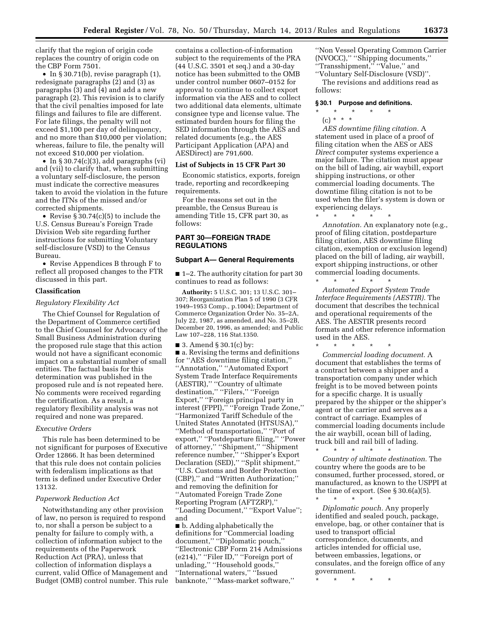clarify that the region of origin code replaces the country of origin code on the CBP Form 7501.

• In § 30.71(b), revise paragraph (1), redesignate paragraphs (2) and (3) as paragraphs  $(3)$  and  $(4)$  and add a new paragraph (2). This revision is to clarify that the civil penalties imposed for late filings and failures to file are different. For late filings, the penalty will not exceed \$1,100 per day of delinquency, and no more than \$10,000 per violation; whereas, failure to file, the penalty will not exceed \$10,000 per violation.

• In § 30.74(c)(3), add paragraphs (vi) and (vii) to clarify that, when submitting a voluntary self-disclosure, the person must indicate the corrective measures taken to avoid the violation in the future and the ITNs of the missed and/or corrected shipments.

• Revise § 30.74(c)(5) to include the U.S. Census Bureau's Foreign Trade Division Web site regarding further instructions for submitting Voluntary self-disclosure (VSD) to the Census Bureau.

• Revise Appendices B through F to reflect all proposed changes to the FTR discussed in this part.

#### **Classification**

#### *Regulatory Flexibility Act*

The Chief Counsel for Regulation of the Department of Commerce certified to the Chief Counsel for Advocacy of the Small Business Administration during the proposed rule stage that this action would not have a significant economic impact on a substantial number of small entities. The factual basis for this determination was published in the proposed rule and is not repeated here. No comments were received regarding the certification. As a result, a regulatory flexibility analysis was not required and none was prepared.

#### *Executive Orders*

This rule has been determined to be not significant for purposes of Executive Order 12866. It has been determined that this rule does not contain policies with federalism implications as that term is defined under Executive Order 13132.

#### *Paperwork Reduction Act*

Notwithstanding any other provision of law, no person is required to respond to, nor shall a person be subject to a penalty for failure to comply with, a collection of information subject to the requirements of the Paperwork Reduction Act (PRA), unless that collection of information displays a current, valid Office of Management and Budget (OMB) control number. This rule

contains a collection-of-information subject to the requirements of the PRA (44 U.S.C. 3501 et seq.) and a 30-day notice has been submitted to the OMB under control number 0607–0152 for approval to continue to collect export information via the AES and to collect two additional data elements, ultimate consignee type and license value. The estimated burden hours for filing the SED information through the AES and related documents (e.g., the AES Participant Application (APA) and AESDirect) are 791,600.

#### **List of Subjects in 15 CFR Part 30**

Economic statistics, exports, foreign trade, reporting and recordkeeping requirements.

For the reasons set out in the preamble, the Census Bureau is amending Title 15, CFR part 30, as follows:

#### **PART 30—FOREIGN TRADE REGULATIONS**

#### **Subpart A— General Requirements**

■ 1–2. The authority citation for part 30 continues to read as follows:

**Authority:** 5 U.S.C. 301; 13 U.S.C. 301– 307; Reorganization Plan 5 of 1990 (3 CFR 1949–1953 Comp., p.1004); Department of Commerce Organization Order No. 35–2A, July 22, 1987, as amended, and No. 35–2B, December 20, 1996, as amended; and Public Law 107–228, 116 Stat.1350.

■ 3. Amend § 30.1(c) by: ■ a. Revising the terms and definitions for ''AES downtime filing citation,'' ''Annotation,'' ''Automated Export System Trade Interface Requirements (AESTIR),'' ''Country of ultimate destination," "Filers," "Foreign Export," "Foreign principal party in interest (FPPI),'' ''Foreign Trade Zone,'' ''Harmonized Tariff Schedule of the United States Annotated (HTSUSA),'' ''Method of transportation,'' ''Port of export,'' ''Postdeparture filing,'' ''Power of attorney,'' ''Shipment,'' ''Shipment reference number,'' ''Shipper's Export Declaration (SED),'' ''Split shipment,'' ''U.S. Customs and Border Protection (CBP),'' and ''Written Authorization;'' and removing the definition for ''Automated Foreign Trade Zone Reporting Program (AFTZRP),'' ''Loading Document,'' ''Export Value''; and

■ b. Adding alphabetically the definitions for ''Commercial loading document,'' ''Diplomatic pouch,'' ''Electronic CBP Form 214 Admissions (e214),'' ''Filer ID,'' ''Foreign port of unlading,'' ''Household goods,'' ''International waters,'' ''Issued banknote,'' ''Mass-market software,''

''Non Vessel Operating Common Carrier (NVOCC),'' ''Shipping documents,'' ''Transshipment,'' ''Value,'' and

''Voluntary Self-Disclosure (VSD)''.

The revisions and additions read as follows:

#### **§ 30.1 Purpose and definitions.**

\* \* \* \* \*

(c) \* \* \* *AES downtime filing citation.* A statement used in place of a proof of filing citation when the AES or AES *Direct* computer systems experience a major failure. The citation must appear on the bill of lading, air waybill, export shipping instructions, or other commercial loading documents. The downtime filing citation is not to be used when the filer's system is down or experiencing delays.

\* \* \* \* \* *Annotation.* An explanatory note (e.g., proof of filing citation, postdeparture filing citation, AES downtime filing citation, exemption or exclusion legend) placed on the bill of lading, air waybill, export shipping instructions, or other commercial loading documents.

\* \* \* \* \* *Automated Export System Trade Interface Requirements (AESTIR).* The document that describes the technical and operational requirements of the AES. The AESTIR presents record formats and other reference information used in the AES.

\* \* \* \* \* *Commercial loading document.* A document that establishes the terms of a contract between a shipper and a transportation company under which freight is to be moved between points for a specific charge. It is usually prepared by the shipper or the shipper's agent or the carrier and serves as a contract of carriage. Examples of commercial loading documents include the air waybill, ocean bill of lading, truck bill and rail bill of lading.

\* \* \* \* \* *Country of ultimate destination.* The country where the goods are to be consumed, further processed, stored, or manufactured, as known to the USPPI at the time of export. (See § 30.6(a)(5).

*Diplomatic pouch.* Any properly identified and sealed pouch, package, envelope, bag, or other container that is used to transport official correspondence, documents, and articles intended for official use, between embassies, legations, or consulates, and the foreign office of any government.

\* \* \* \* \*

\* \* \* \* \*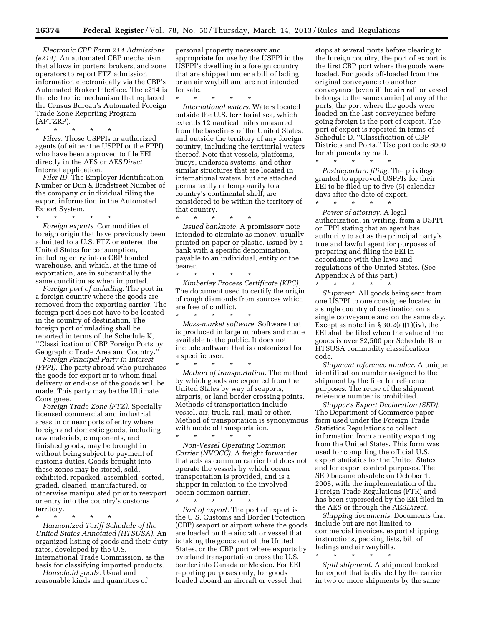*Electronic CBP Form 214 Admissions (e214).* An automated CBP mechanism that allows importers, brokers, and zone operators to report FTZ admission information electronically via the CBP's Automated Broker Interface. The e214 is the electronic mechanism that replaced the Census Bureau's Automated Foreign Trade Zone Reporting Program (AFTZRP).

\* \* \* \* \* *Filers.* Those USPPIs or authorized agents (of either the USPPI or the FPPI) who have been approved to file EEI directly in the AES or AES*Direct*  Internet application.

*Filer ID.* The Employer Identification Number or Dun & Bradstreet Number of the company or individual filing the export information in the Automated Export System.

\* \* \* \* \* *Foreign exports.* Commodities of foreign origin that have previously been admitted to a U.S. FTZ or entered the United States for consumption, including entry into a CBP bonded warehouse, and which, at the time of exportation, are in substantially the same condition as when imported.

*Foreign port of unlading.* The port in a foreign country where the goods are removed from the exporting carrier. The foreign port does not have to be located in the country of destination. The foreign port of unlading shall be reported in terms of the Schedule K, ''Classification of CBP Foreign Ports by Geographic Trade Area and Country.''

*Foreign Principal Party in Interest (FPPI).* The party abroad who purchases the goods for export or to whom final delivery or end-use of the goods will be made. This party may be the Ultimate Consignee.

*Foreign Trade Zone (FTZ).* Specially licensed commercial and industrial areas in or near ports of entry where foreign and domestic goods, including raw materials, components, and finished goods, may be brought in without being subject to payment of customs duties. Goods brought into these zones may be stored, sold, exhibited, repacked, assembled, sorted, graded, cleaned, manufactured, or otherwise manipulated prior to reexport or entry into the country's customs territory.

\* \* \* \* \* *Harmonized Tariff Schedule of the United States Annotated (HTSUSA).* An organized listing of goods and their duty rates, developed by the U.S. International Trade Commission, as the basis for classifying imported products.

*Household goods.* Usual and reasonable kinds and quantities of

personal property necessary and appropriate for use by the USPPI in the USPPI's dwelling in a foreign country that are shipped under a bill of lading or an air waybill and are not intended for sale.

\* \* \* \* \*

*International waters.* Waters located outside the U.S. territorial sea, which extends 12 nautical miles measured from the baselines of the United States, and outside the territory of any foreign country, including the territorial waters thereof. Note that vessels, platforms, buoys, undersea systems, and other similar structures that are located in international waters, but are attached permanently or temporarily to a country's continental shelf, are considered to be within the territory of that country.

\* \* \* \* \* *Issued banknote.* A promissory note intended to circulate as money, usually printed on paper or plastic, issued by a bank with a specific denomination, payable to an individual, entity or the bearer.

\* \* \* \* \* *Kimberley Process Certificate (KPC).*  The document used to certify the origin of rough diamonds from sources which are free of conflict.

\* \* \* \* \* *Mass-market software.* Software that is produced in large numbers and made available to the public. It does not include software that is customized for a specific user.

\* \* \* \* \* *Method of transportation.* The method by which goods are exported from the United States by way of seaports, airports, or land border crossing points. Methods of transportation include vessel, air, truck, rail, mail or other. Method of transportation is synonymous with mode of transportation.

\* \* \* \* \* *Non-Vessel Operating Common Carrier (NVOCC).* A freight forwarder that acts as common carrier but does not operate the vessels by which ocean transportation is provided, and is a shipper in relation to the involved ocean common carrier.

\* \* \* \* \* *Port of export.* The port of export is the U.S. Customs and Border Protection (CBP) seaport or airport where the goods are loaded on the aircraft or vessel that is taking the goods out of the United States, or the CBP port where exports by overland transportation cross the U.S. border into Canada or Mexico. For EEI reporting purposes only, for goods loaded aboard an aircraft or vessel that

stops at several ports before clearing to the foreign country, the port of export is the first CBP port where the goods were loaded. For goods off-loaded from the original conveyance to another conveyance (even if the aircraft or vessel belongs to the same carrier) at any of the ports, the port where the goods were loaded on the last conveyance before going foreign is the port of export. The port of export is reported in terms of Schedule D, ''Classification of CBP Districts and Ports.'' Use port code 8000 for shipments by mail.

\* \* \* \* \* *Postdeparture filing.* The privilege granted to approved USPPIs for their EEI to be filed up to five (5) calendar days after the date of export.

\* \* \* \* \*

*Power of attorney.* A legal authorization, in writing, from a USPPI or FPPI stating that an agent has authority to act as the principal party's true and lawful agent for purposes of preparing and filing the EEI in accordance with the laws and regulations of the United States. (See Appendix A of this part.)

\* \* \* \* \* *Shipment.* All goods being sent from one USPPI to one consignee located in a single country of destination on a single conveyance and on the same day. Except as noted in  $\S 30.2(a)(1)(iv)$ , the EEI shall be filed when the value of the goods is over \$2,500 per Schedule B or HTSUSA commodity classification code.

*Shipment reference number.* A unique identification number assigned to the shipment by the filer for reference purposes. The reuse of the shipment reference number is prohibited.

*Shipper's Export Declaration (SED).*  The Department of Commerce paper form used under the Foreign Trade Statistics Regulations to collect information from an entity exporting from the United States. This form was used for compiling the official U.S. export statistics for the United States and for export control purposes. The SED became obsolete on October 1, 2008, with the implementation of the Foreign Trade Regulations (FTR) and has been superseded by the EEI filed in the AES or through the AES*Direct.* 

*Shipping documents.* Documents that include but are not limited to commercial invoices, export shipping instructions, packing lists, bill of ladings and air waybills.

\* \* \* \* \* *Split shipment.* A shipment booked for export that is divided by the carrier in two or more shipments by the same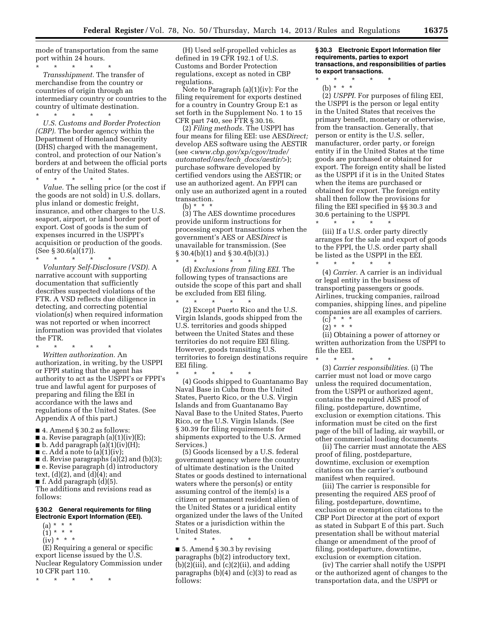mode of transportation from the same port within 24 hours.

\* \* \* \* \* *Transshipment.* The transfer of merchandise from the country or countries of origin through an intermediary country or countries to the country of ultimate destination.

\* \* \* \* \* *U.S. Customs and Border Protection (CBP).* The border agency within the Department of Homeland Security (DHS) charged with the management, control, and protection of our Nation's borders at and between the official ports of entry of the United States.

\* \* \* \* \* *Value.* The selling price (or the cost if the goods are not sold) in U.S. dollars, plus inland or domestic freight, insurance, and other charges to the U.S. seaport, airport, or land border port of export. Cost of goods is the sum of expenses incurred in the USPPI's acquisition or production of the goods. (See § 30.6(a)(17)).

\* \* \* \* \* *Voluntary Self-Disclosure (VSD).* A narrative account with supporting documentation that sufficiently describes suspected violations of the FTR. A VSD reflects due diligence in detecting, and correcting potential violation(s) when required information was not reported or when incorrect information was provided that violates the FTR.

\* \* \* \* \* *Written authorization.* An authorization, in writing, by the USPPI or FPPI stating that the agent has authority to act as the USPPI's or FPPI's true and lawful agent for purposes of preparing and filing the EEI in accordance with the laws and regulations of the United States. (See Appendix A of this part.)

- 4. Amend § 30.2 as follows:
- $\blacksquare$  a. Revise paragraph (a)(1)(iv)(E);
- $\blacksquare$  b. Add paragraph (a)(1)(iv)(H);
- $\blacksquare$  c. Add a note to (a)(1)(iv);

■ d. Revise paragraphs (a)(2) and (b)(3); ■ e. Revise paragraph (d) introductory text,  $(d)(2)$ , and  $(d)(4)$ ; and

■ f. Add paragraph (d)(5).

The additions and revisions read as follows:

#### **§ 30.2 General requirements for filing Electronic Export Information (EEI).**

- $(a) * * * *$
- $(1) * * * *$
- $(iv) * * * *$

(E) Requiring a general or specific export license issued by the U.S. Nuclear Regulatory Commission under 10 CFR part 110.

\* \* \* \* \*

(H) Used self-propelled vehicles as defined in 19 CFR 192.1 of U.S. Customs and Border Protection regulations, except as noted in CBP regulations.

Note to Paragraph (a)(1)(iv): For the filing requirement for exports destined for a country in Country Group E:1 as set forth in the Supplement No. 1 to 15 CFR part 740, see FTR § 30.16.

(2) *Filing methods.* The USPPI has four means for filing EEI: use AES*Direct;*  develop AES software using the AESTIR (see *<[www.cbp.gov/xp/cgov/trade/](http://www.cbp.gov/xp/cgov/trade/automated/aes/tech_docs/aestir/) [automated/aes/tech](http://www.cbp.gov/xp/cgov/trade/automated/aes/tech_docs/aestir/)*\_*docs/aestir/>*); purchase software developed by certified vendors using the AESTIR; or use an authorized agent. An FPPI can only use an authorized agent in a routed transaction. (b)  $* * * *$ 

(3) The AES downtime procedures provide uniform instructions for processing export transactions when the government's AES or AES*Direct* is unavailable for transmission. (See § 30.4(b)(1) and § 30.4(b)(3).) \* \* \* \* \*

(d) *Exclusions from filing EEI.* The following types of transactions are outside the scope of this part and shall be excluded from EEI filing. \* \* \* \* \*

(2) Except Puerto Rico and the U.S. Virgin Islands, goods shipped from the U.S. territories and goods shipped between the United States and these territories do not require EEI filing. However, goods transiting U.S. territories to foreign destinations require EEI filing.

\* \* \* \* \* (4) Goods shipped to Guantanamo Bay Naval Base in Cuba from the United States, Puerto Rico, or the U.S. Virgin Islands and from Guantanamo Bay Naval Base to the United States, Puerto Rico, or the U.S. Virgin Islands. (See § 30.39 for filing requirements for shipments exported to the U.S. Armed Services.)

(5) Goods licensed by a U.S. federal government agency where the country of ultimate destination is the United States or goods destined to international waters where the person(s) or entity assuming control of the item(s) is a citizen or permanent resident alien of the United States or a juridical entity organized under the laws of the United States or a jurisdiction within the United States.

\* \* \* \* \*

■ 5. Amend § 30.3 by revising paragraphs (b)(2) introductory text,  $(b)(2)(iii)$ , and  $(c)(2)(ii)$ , and adding paragraphs (b)(4) and (c)(3) to read as follows:

**§ 30.3 Electronic Export Information filer requirements, parties to export transactions, and responsibilities of parties to export transactions.** 

- \* \* \* \* \*
- (b) \* \* \* (2) *USPPI.* For purposes of filing EEI, the USPPI is the person or legal entity in the United States that receives the primary benefit, monetary or otherwise, from the transaction. Generally, that person or entity is the U.S. seller,

manufacturer, order party, or foreign entity if in the United States at the time goods are purchased or obtained for export. The foreign entity shall be listed as the USPPI if it is in the United States when the items are purchased or obtained for export. The foreign entity shall then follow the provisions for filing the EEI specified in §§ 30.3 and 30.6 pertaining to the USPPI. \* \* \* \* \*

(iii) If a U.S. order party directly arranges for the sale and export of goods to the FPPI, the U.S. order party shall be listed as the USPPI in the EEI.

\* \* \* \* \* (4) *Carrier.* A carrier is an individual or legal entity in the business of transporting passengers or goods. Airlines, trucking companies, railroad companies, shipping lines, and pipeline companies are all examples of carriers.  $(c) * * * *$ 

 $(2) * * * *$ 

(ii) Obtaining a power of attorney or written authorization from the USPPI to file the EEI.

\* \* \* \* \* (3) *Carrier responsibilities.* (i) The carrier must not load or move cargo unless the required documentation, from the USPPI or authorized agent, contains the required AES proof of filing, postdeparture, downtime, exclusion or exemption citations. This information must be cited on the first page of the bill of lading, air waybill, or other commercial loading documents.

(ii) The carrier must annotate the AES proof of filing, postdeparture, downtime, exclusion or exemption citations on the carrier's outbound manifest when required.

(iii) The carrier is responsible for presenting the required AES proof of filing, postdeparture, downtime, exclusion or exemption citations to the CBP Port Director at the port of export as stated in Subpart E of this part. Such presentation shall be without material change or amendment of the proof of filing, postdeparture, downtime, exclusion or exemption citation.

(iv) The carrier shall notify the USPPI or the authorized agent of changes to the transportation data, and the USPPI or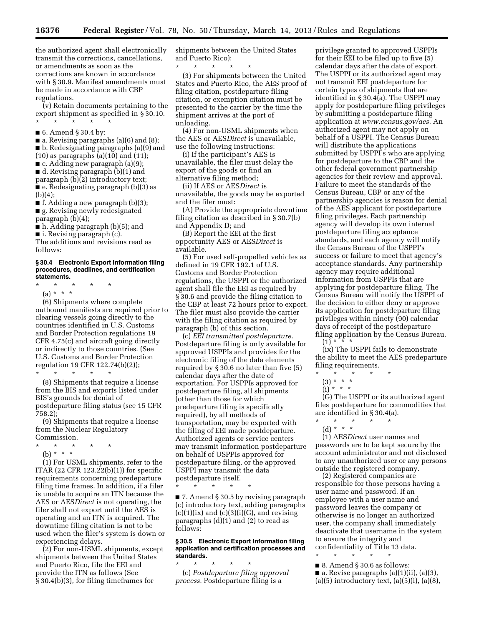the authorized agent shall electronically transmit the corrections, cancellations, or amendments as soon as the corrections are known in accordance with § 30.9. Manifest amendments must be made in accordance with CBP regulations.

(v) Retain documents pertaining to the export shipment as specified in § 30.10.

#### ■ 6. Amend § 30.4 by:

\* \* \* \* \*

■ a. Revising paragraphs (a)(6) and (8);

■ b. Redesignating paragraphs (a)(9) and

- $(10)$  as paragraphs  $(a)(10)$  and  $(11)$ ;
- c. Adding new paragraph (a)(9);

■ d. Revising paragraph (b)(1) and paragraph (b)(2) introductory text;  $\blacksquare$  e. Redesignating paragraph (b)(3) as  $(b)(4)$ ;

■ f. Adding a new paragraph (b)(3); ■ g. Revising newly redesignated paragraph (b)(4);

■ h. Adding paragraph (b)(5); and ■ i. Revising paragraph (c).

The additions and revisions read as follows:

#### **§ 30.4 Electronic Export Information filing procedures, deadlines, and certification statements.**

- \* \* \* \* \*
- (a) \* \* \*

(6) Shipments where complete outbound manifests are required prior to clearing vessels going directly to the countries identified in U.S. Customs and Border Protection regulations 19 CFR 4.75(c) and aircraft going directly or indirectly to those countries. (See U.S. Customs and Border Protection regulation 19 CFR 122.74(b)(2));

\* \* \* \* \*

(8) Shipments that require a license from the BIS and exports listed under BIS's grounds for denial of postdeparture filing status (see 15 CFR 758.2);

(9) Shipments that require a license from the Nuclear Regulatory Commission.

- 
- \* \* \* \* \*

(b) \* \* \* (1) For USML shipments, refer to the ITAR (22 CFR 123.22(b)(1)) for specific requirements concerning predeparture filing time frames. In addition, if a filer is unable to acquire an ITN because the AES or AES*Direct* is not operating, the filer shall not export until the AES is operating and an ITN is acquired. The downtime filing citation is not to be used when the filer's system is down or experiencing delays.

(2) For non-USML shipments, except shipments between the United States and Puerto Rico, file the EEI and provide the ITN as follows (See § 30.4(b)(3), for filing timeframes for

shipments between the United States and Puerto Rico):

\* \* \* \* \* (3) For shipments between the United States and Puerto Rico, the AES proof of filing citation, postdeparture filing citation, or exemption citation must be presented to the carrier by the time the shipment arrives at the port of unloading.

(4) For non-USML shipments when the AES or AES*Direct* is unavailable, use the following instructions:

(i) If the participant's AES is unavailable, the filer must delay the export of the goods or find an alternative filing method;

(ii) If AES or AES*Direct* is unavailable, the goods may be exported and the filer must:

(A) Provide the appropriate downtime filing citation as described in § 30.7(b) and Appendix D; and

(B) Report the EEI at the first opportunity AES or AES*Direct* is available.

(5) For used self-propelled vehicles as defined in 19 CFR 192.1 of U.S. Customs and Border Protection regulations, the USPPI or the authorized agent shall file the EEI as required by § 30.6 and provide the filing citation to the CBP at least 72 hours prior to export. The filer must also provide the carrier with the filing citation as required by paragraph (b) of this section.

(c) *EEI transmitted postdeparture.*  Postdeparture filing is only available for approved USPPIs and provides for the electronic filing of the data elements required by § 30.6 no later than five (5) calendar days after the date of exportation. For USPPIs approved for postdeparture filing, all shipments (other than those for which predeparture filing is specifically required), by all methods of transportation, may be exported with the filing of EEI made postdeparture. Authorized agents or service centers may transmit information postdeparture on behalf of USPPIs approved for postdeparture filing, or the approved USPPI may transmit the data postdeparture itself.

\* \* \* \* \*

■ 7. Amend § 30.5 by revising paragraph (c) introductory text, adding paragraphs  $(c)(1)(ix)$  and  $(c)(3)(i)(G)$ , and revising paragraphs (d)(1) and (2) to read as follows:

#### **§ 30.5 Electronic Export Information filing application and certification processes and standards.**

\* \* \* \* \* (c) *Postdeparture filing approval process.* Postdeparture filing is a

privilege granted to approved USPPIs for their EEI to be filed up to five (5) calendar days after the date of export. The USPPI or its authorized agent may not transmit EEI postdeparture for certain types of shipments that are identified in § 30.4(a). The USPPI may apply for postdeparture filing privileges by submitting a postdeparture filing application at *[www.census.gov/aes](http://www.census.gov/aes)*. An authorized agent may not apply on behalf of a USPPI. The Census Bureau will distribute the applications submitted by USPPI's who are applying for postdeparture to the CBP and the other federal government partnership agencies for their review and approval. Failure to meet the standards of the Census Bureau, CBP or any of the partnership agencies is reason for denial of the AES applicant for postdeparture filing privileges. Each partnership agency will develop its own internal postdeparture filing acceptance standards, and each agency will notify the Census Bureau of the USPPI's success or failure to meet that agency's acceptance standards. Any partnership agency may require additional information from USPPIs that are applying for postdeparture filing. The Census Bureau will notify the USPPI of the decision to either deny or approve its application for postdeparture filing privileges within ninety (90) calendar days of receipt of the postdeparture filing application by the Census Bureau.

 $(1)^{*}$ 

(ix) The USPPI fails to demonstrate the ability to meet the AES predeparture filing requirements.

- \* \* \* \* \*
- (3) \* \* \*
- (i) \* \* \*

(G) The USPPI or its authorized agent files postdeparture for commodities that are identified in § 30.4(a).

\* \* \* \* \*

(d) \* \* \*

(1) AES*Direct* user names and passwords are to be kept secure by the account administrator and not disclosed to any unauthorized user or any persons outside the registered company.

(2) Registered companies are responsible for those persons having a user name and password. If an employee with a user name and password leaves the company or otherwise is no longer an authorized user, the company shall immediately deactivate that username in the system to ensure the integrity and

confidentiality of Title 13 data.

\* \* \* \* \* ■ 8. Amend § 30.6 as follows:  $\blacksquare$  a. Revise paragraphs (a)(1)(ii), (a)(3),  $(a)(5)$  introductory text,  $(a)(5)(i)$ ,  $(a)(8)$ ,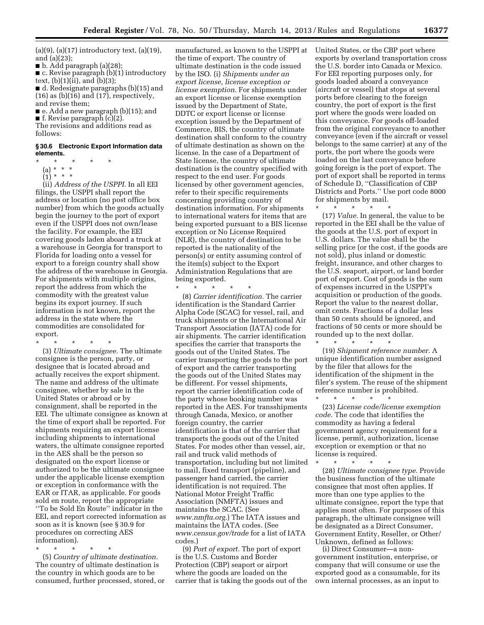$(a)(9)$ ,  $(a)(17)$  introductory text,  $(a)(19)$ , and (a)(23);

■ b. Add paragraph (a)(28);

■ c. Revise paragraph (b)(1) introductory text,  $(b)(1)(ii)$ , and  $(b)(3)$ ;

■ d. Redesignate paragraphs (b)(15) and (16) as (b)(16) and (17), respectively, and revise them;

- e. Add a new paragraph (b)(15); and
- **f.** Revise paragraph  $(c)(2)$ .

The revisions and additions read as follows:

#### **§ 30.6 Electronic Export Information data elements.**

- \* \* \* \* \*
	- (a) \* \* \*
	- (1) \* \* \*

(ii) *Address of the USPPI.* In all EEI filings, the USPPI shall report the address or location (no post office box number) from which the goods actually begin the journey to the port of export even if the USPPI does not own/lease the facility. For example, the EEI covering goods laden aboard a truck at a warehouse in Georgia for transport to Florida for loading onto a vessel for export to a foreign country shall show the address of the warehouse in Georgia. For shipments with multiple origins, report the address from which the commodity with the greatest value begins its export journey. If such information is not known, report the address in the state where the commodities are consolidated for export.

\* \* \* \* \*

(3) *Ultimate consignee.* The ultimate consignee is the person, party, or designee that is located abroad and actually receives the export shipment. The name and address of the ultimate consignee, whether by sale in the United States or abroad or by consignment, shall be reported in the EEI. The ultimate consignee as known at the time of export shall be reported. For shipments requiring an export license including shipments to international waters, the ultimate consignee reported in the AES shall be the person so designated on the export license or authorized to be the ultimate consignee under the applicable license exemption or exception in conformance with the EAR or ITAR, as applicable. For goods sold en route, report the appropriate ''To be Sold En Route'' indicator in the EEI, and report corrected information as soon as it is known (see § 30.9 for procedures on correcting AES information).

\* \* \* \* \* (5) *Country of ultimate destination.*  The country of ultimate destination is the country in which goods are to be consumed, further processed, stored, or

manufactured, as known to the USPPI at the time of export. The country of ultimate destination is the code issued by the ISO. (i) *Shipments under an export license, license exception or license exemption.* For shipments under an export license or license exemption issued by the Department of State, DDTC or export license or license exception issued by the Department of Commerce, BIS, the country of ultimate destination shall conform to the country of ultimate destination as shown on the license. In the case of a Department of State license, the country of ultimate destination is the country specified with respect to the end user. For goods licensed by other government agencies, refer to their specific requirements concerning providing country of destination information. For shipments to international waters for items that are being exported pursuant to a BIS license exception or No License Required (NLR), the country of destination to be reported is the nationality of the person(s) or entity assuming control of the item(s) subject to the Export Administration Regulations that are being exported.

\* \* \* \* \*

(8) *Carrier identification.* The carrier identification is the Standard Carrier Alpha Code (SCAC) for vessel, rail, and truck shipments or the International Air Transport Association (IATA) code for air shipments. The carrier identification specifies the carrier that transports the goods out of the United States. The carrier transporting the goods to the port of export and the carrier transporting the goods out of the United States may be different. For vessel shipments, report the carrier identification code of the party whose booking number was reported in the AES. For transshipments through Canada, Mexico, or another foreign country, the carrier identification is that of the carrier that transports the goods out of the United States. For modes other than vessel, air, rail and truck valid methods of transportation, including but not limited to mail, fixed transport (pipeline), and passenger hand carried, the carrier identification is not required. The National Motor Freight Traffic Association (NMFTA) issues and maintains the SCAC. (See *[www.nmfta.org.](http://www.nmfta.org)*) The IATA issues and maintains the IATA codes. (See *[www.census.gov/trade](http://www.census.gov/trade)* for a list of IATA codes.)

(9) *Port of export.* The port of export is the U.S. Customs and Border Protection (CBP) seaport or airport where the goods are loaded on the carrier that is taking the goods out of the United States, or the CBP port where exports by overland transportation cross the U.S. border into Canada or Mexico. For EEI reporting purposes only, for goods loaded aboard a conveyance (aircraft or vessel) that stops at several ports before clearing to the foreign country, the port of export is the first port where the goods were loaded on this conveyance. For goods off-loaded from the original conveyance to another conveyance (even if the aircraft or vessel belongs to the same carrier) at any of the ports, the port where the goods were loaded on the last conveyance before going foreign is the port of export. The port of export shall be reported in terms of Schedule D, ''Classification of CBP Districts and Ports.'' Use port code 8000 for shipments by mail.

\* \* \* \* \* (17) *Value.* In general, the value to be reported in the EEI shall be the value of the goods at the U.S. port of export in U.S. dollars. The value shall be the selling price (or the cost, if the goods are not sold), plus inland or domestic freight, insurance, and other charges to the U.S. seaport, airport, or land border port of export. Cost of goods is the sum of expenses incurred in the USPPI's acquisition or production of the goods. Report the value to the nearest dollar, omit cents. Fractions of a dollar less than 50 cents should be ignored, and fractions of 50 cents or more should be rounded up to the next dollar.

\* \* \* \* \* (19) *Shipment reference number.* A unique identification number assigned by the filer that allows for the identification of the shipment in the filer's system. The reuse of the shipment reference number is prohibited.

\* \* \* \* \* (23) *License code/license exemption code.* The code that identifies the commodity as having a federal government agency requirement for a license, permit, authorization, license exception or exemption or that no license is required.

\* \* \* \* \* (28) *Ultimate consignee type.* Provide the business function of the ultimate consignee that most often applies. If more than one type applies to the ultimate consignee, report the type that applies most often. For purposes of this paragraph, the ultimate consignee will be designated as a Direct Consumer, Government Entity, Reseller, or Other/ Unknown, defined as follows:

(i) Direct Consumer—a nongovernment institution, enterprise, or company that will consume or use the exported good as a consumable, for its own internal processes, as an input to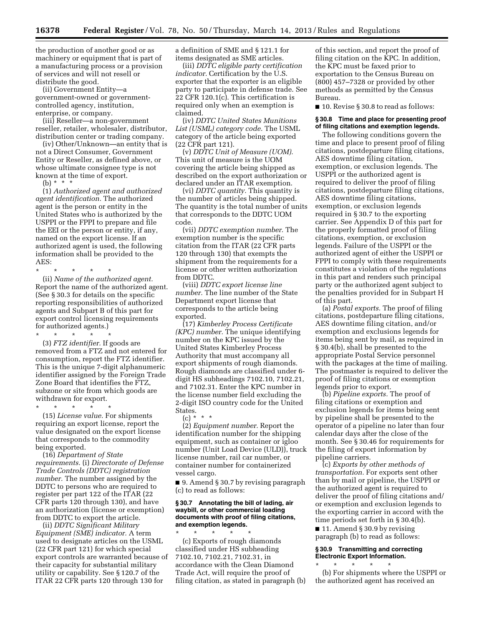the production of another good or as machinery or equipment that is part of a manufacturing process or a provision of services and will not resell or distribute the good.

(ii) Government Entity—a government-owned or governmentcontrolled agency, institution, enterprise, or company.

(iii) Reseller—a non-government reseller, retailer, wholesaler, distributor, distribution center or trading company.

(iv) Other/Unknown—an entity that is not a Direct Consumer, Government Entity or Reseller, as defined above, or whose ultimate consignee type is not known at the time of export.

(b)  $* * * *$ 

(1) *Authorized agent and authorized agent identification.* The authorized agent is the person or entity in the United States who is authorized by the USPPI or the FPPI to prepare and file the EEI or the person or entity, if any, named on the export license. If an authorized agent is used, the following information shall be provided to the AES:

\* \* \* \* \*

(ii) *Name of the authorized agent.*  Report the name of the authorized agent. (See § 30.3 for details on the specific reporting responsibilities of authorized agents and Subpart B of this part for export control licensing requirements for authorized agents.)

\* \* \* \* \* (3) *FTZ identifier.* If goods are removed from a FTZ and not entered for consumption, report the FTZ identifier. This is the unique 7-digit alphanumeric identifier assigned by the Foreign Trade Zone Board that identifies the FTZ, subzone or site from which goods are withdrawn for export.

\* \* \* \* \* (15) *License value.* For shipments requiring an export license, report the value designated on the export license that corresponds to the commodity being exported.

(16) *Department of State requirements.* (i) *Directorate of Defense Trade Controls (DDTC) registration number.* The number assigned by the DDTC to persons who are required to register per part 122 of the ITAR (22 CFR parts 120 through 130), and have an authorization (license or exemption) from DDTC to export the article.

(ii) *DDTC Significant Military Equipment (SME) indicator.* A term used to designate articles on the USML (22 CFR part 121) for which special export controls are warranted because of their capacity for substantial military utility or capability. See § 120.7 of the ITAR 22 CFR parts 120 through 130 for

a definition of SME and § 121.1 for items designated as SME articles.

(iii) *DDTC eligible party certification indicator.* Certification by the U.S. exporter that the exporter is an eligible party to participate in defense trade. See 22 CFR 120.1(c). This certification is required only when an exemption is claimed.

(iv) *DDTC United States Munitions List (USML) category code.* The USML category of the article being exported (22 CFR part 121).

(v) *DDTC Unit of Measure (UOM).*  This unit of measure is the UOM covering the article being shipped as described on the export authorization or declared under an ITAR exemption.

(vi) *DDTC quantity.* This quantity is the number of articles being shipped. The quantity is the total number of units that corresponds to the DDTC UOM code.

(vii) *DDTC exemption number.* The exemption number is the specific citation from the ITAR (22 CFR parts 120 through 130) that exempts the shipment from the requirements for a license or other written authorization from DDTC.

(viii) *DDTC export license line number.* The line number of the State Department export license that corresponds to the article being exported.

(17) *Kimberley Process Certificate (KPC) number.* The unique identifying number on the KPC issued by the United States Kimberley Process Authority that must accompany all export shipments of rough diamonds. Rough diamonds are classified under 6 digit HS subheadings 7102.10, 7102.21, and 7102.31. Enter the KPC number in the license number field excluding the 2-digit ISO country code for the United States.

 $(c) * * * *$ 

(2) *Equipment number.* Report the identification number for the shipping equipment, such as container or igloo number (Unit Load Device (ULD)), truck license number, rail car number, or container number for containerized vessel cargo.

■ 9. Amend § 30.7 by revising paragraph (c) to read as follows:

#### **§ 30.7 Annotating the bill of lading, air waybill, or other commercial loading documents with proof of filing citations, and exemption legends.**

\* \* \* \* \* (c) Exports of rough diamonds classified under HS subheading 7102.10, 7102.21, 7102.31, in accordance with the Clean Diamond Trade Act, will require the proof of filing citation, as stated in paragraph (b)

of this section, and report the proof of filing citation on the KPC. In addition, the KPC must be faxed prior to exportation to the Census Bureau on (800) 457–7328 or provided by other methods as permitted by the Census Bureau.

■ 10. Revise § 30.8 to read as follows:

#### **§ 30.8 Time and place for presenting proof of filing citations and exemption legends.**

The following conditions govern the time and place to present proof of filing citations, postdeparture filing citations, AES downtime filing citation, exemption, or exclusion legends. The USPPI or the authorized agent is required to deliver the proof of filing citations, postdeparture filing citations, AES downtime filing citations, exemption, or exclusion legends required in § 30.7 to the exporting carrier. See Appendix D of this part for the properly formatted proof of filing citations, exemption, or exclusion legends. Failure of the USPPI or the authorized agent of either the USPPI or FPPI to comply with these requirements constitutes a violation of the regulations in this part and renders such principal party or the authorized agent subject to the penalties provided for in Subpart H of this part.

(a) *Postal exports.* The proof of filing citations, postdeparture filing citations, AES downtime filing citation, and/or exemption and exclusions legends for items being sent by mail, as required in § 30.4(b), shall be presented to the appropriate Postal Service personnel with the packages at the time of mailing. The postmaster is required to deliver the proof of filing citations or exemption legends prior to export.

(b) *Pipeline exports.* The proof of filing citations or exemption and exclusion legends for items being sent by pipeline shall be presented to the operator of a pipeline no later than four calendar days after the close of the month. See § 30.46 for requirements for the filing of export information by pipeline carriers.

(c) *Exports by other methods of transportation.* For exports sent other than by mail or pipeline, the USPPI or the authorized agent is required to deliver the proof of filing citations and/ or exemption and exclusion legends to the exporting carrier in accord with the time periods set forth in § 30.4(b).

■ 11. Amend § 30.9 by revising paragraph (b) to read as follows:

#### **§ 30.9 Transmitting and correcting Electronic Export Information.**

\* \* \* \* \* (b) For shipments where the USPPI or the authorized agent has received an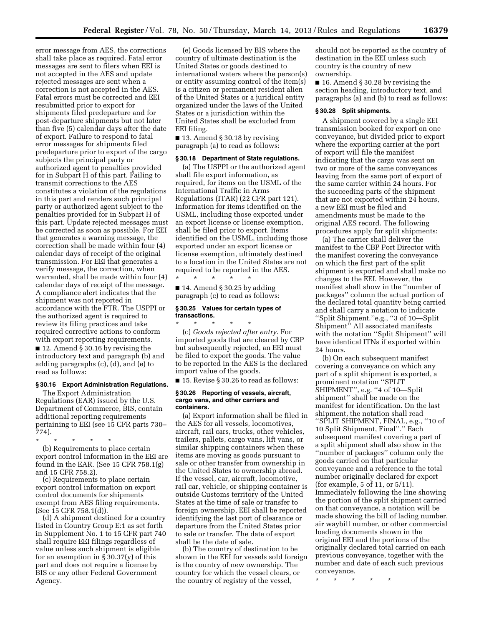error message from AES, the corrections shall take place as required. Fatal error messages are sent to filers when EEI is not accepted in the AES and update rejected messages are sent when a correction is not accepted in the AES. Fatal errors must be corrected and EEI resubmitted prior to export for shipments filed predeparture and for post-departure shipments but not later than five (5) calendar days after the date of export. Failure to respond to fatal error messages for shipments filed predeparture prior to export of the cargo subjects the principal party or authorized agent to penalties provided for in Subpart H of this part. Failing to transmit corrections to the AES constitutes a violation of the regulations in this part and renders such principal party or authorized agent subject to the penalties provided for in Subpart H of this part. Update rejected messages must be corrected as soon as possible. For EEI that generates a warning message, the correction shall be made within four (4) calendar days of receipt of the original transmission. For EEI that generates a verify message, the correction, when warranted, shall be made within four (4) calendar days of receipt of the message. A compliance alert indicates that the shipment was not reported in accordance with the FTR. The USPPI or the authorized agent is required to review its filing practices and take required corrective actions to conform with export reporting requirements.

■ 12. Amend § 30.16 by revising the introductory text and paragraph (b) and adding paragraphs (c), (d), and (e) to read as follows:

#### **§ 30.16 Export Administration Regulations.**

The Export Administration Regulations (EAR) issued by the U.S. Department of Commerce, BIS, contain additional reporting requirements pertaining to EEI (see 15 CFR parts 730– 774).

\* \* \* \* \* (b) Requirements to place certain export control information in the EEI are found in the EAR. (See 15 CFR 758.1(g) and 15 CFR 758.2).

(c) Requirements to place certain export control information on export control documents for shipments exempt from AES filing requirements. (See 15 CFR 758.1(d)).

(d) A shipment destined for a country listed in Country Group E:1 as set forth in Supplement No. 1 to 15 CFR part 740 shall require EEI filings regardless of value unless such shipment is eligible for an exemption in § 30.37(y) of this part and does not require a license by BIS or any other Federal Government Agency.

(e) Goods licensed by BIS where the country of ultimate destination is the United States or goods destined to international waters where the person(s) or entity assuming control of the item(s) is a citizen or permanent resident alien of the United States or a juridical entity organized under the laws of the United States or a jurisdiction within the United States shall be excluded from EEI filing.

■ 13. Amend § 30.18 by revising paragraph (a) to read as follows:

#### **§ 30.18 Department of State regulations.**

(a) The USPPI or the authorized agent shall file export information, as required, for items on the USML of the International Traffic in Arms Regulations (ITAR) (22 CFR part 121). Information for items identified on the USML, including those exported under an export license or license exemption, shall be filed prior to export. Items identified on the USML, including those exported under an export license or license exemption, ultimately destined to a location in the United States are not required to be reported in the AES. \* \* \* \* \*

 $\blacksquare$  14. Amend § 30.25 by adding paragraph (c) to read as follows:

#### **§ 30.25 Values for certain types of transactions.**

\* \* \* \* \* (c) *Goods rejected after entry.* For imported goods that are cleared by CBP but subsequently rejected, an EEI must be filed to export the goods. The value to be reported in the AES is the declared import value of the goods.

■ 15. Revise § 30.26 to read as follows:

#### **§ 30.26 Reporting of vessels, aircraft, cargo vans, and other carriers and containers.**

(a) Export information shall be filed in the AES for all vessels, locomotives, aircraft, rail cars, trucks, other vehicles, trailers, pallets, cargo vans, lift vans, or similar shipping containers when these items are moving as goods pursuant to sale or other transfer from ownership in the United States to ownership abroad. If the vessel, car, aircraft, locomotive, rail car, vehicle, or shipping container is outside Customs territory of the United States at the time of sale or transfer to foreign ownership, EEI shall be reported identifying the last port of clearance or departure from the United States prior to sale or transfer. The date of export shall be the date of sale.

(b) The country of destination to be shown in the EEI for vessels sold foreign is the country of new ownership. The country for which the vessel clears, or the country of registry of the vessel,

should not be reported as the country of destination in the EEI unless such country is the country of new ownership.

■ 16. Amend § 30.28 by revising the section heading, introductory text, and paragraphs (a) and (b) to read as follows:

#### **§ 30.28 Split shipments.**

A shipment covered by a single EEI transmission booked for export on one conveyance, but divided prior to export where the exporting carrier at the port of export will file the manifest indicating that the cargo was sent on two or more of the same conveyances leaving from the same port of export of the same carrier within 24 hours. For the succeeding parts of the shipment that are not exported within 24 hours, a new EEI must be filed and amendments must be made to the original AES record. The following procedures apply for split shipments:

(a) The carrier shall deliver the manifest to the CBP Port Director with the manifest covering the conveyance on which the first part of the split shipment is exported and shall make no changes to the EEI. However, the manifest shall show in the ''number of packages'' column the actual portion of the declared total quantity being carried and shall carry a notation to indicate ''Split Shipment.''e.g., ''3 of 10—Split Shipment'' All associated manifests with the notation "Split Shipment" will have identical ITNs if exported within 24 hours.

(b) On each subsequent manifest covering a conveyance on which any part of a split shipment is exported, a prominent notation ''SPLIT SHIPMENT", e.g. "4 of 10-Split shipment'' shall be made on the manifest for identification. On the last shipment, the notation shall read ''SPLIT SHIPMENT, FINAL, e.g., ''10 of 10 Split Shipment, Final''.'' Each subsequent manifest covering a part of a split shipment shall also show in the ''number of packages'' column only the goods carried on that particular conveyance and a reference to the total number originally declared for export (for example, 5 of 11, or 5/11). Immediately following the line showing the portion of the split shipment carried on that conveyance, a notation will be made showing the bill of lading number, air waybill number, or other commercial loading documents shown in the original EEI and the portions of the originally declared total carried on each previous conveyance, together with the number and date of each such previous conveyance.

\* \* \* \* \*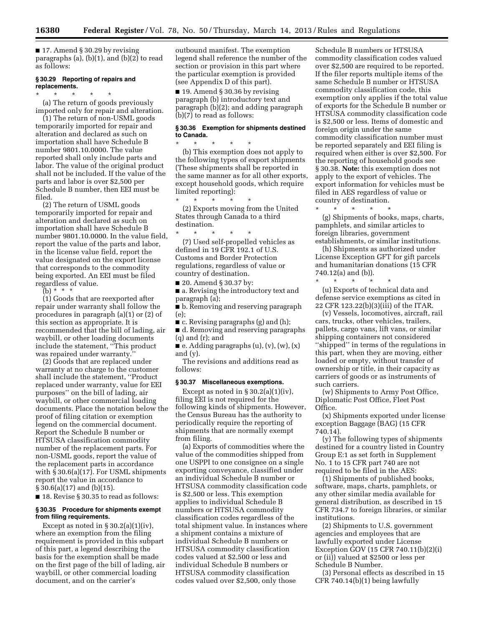■ 17. Amend § 30.29 by revising paragraphs (a), (b)(1), and (b)(2) to read as follows:

#### **§ 30.29 Reporting of repairs and replacements.**

\* \* \* \* \* (a) The return of goods previously imported only for repair and alteration.

(1) The return of non-USML goods temporarily imported for repair and alteration and declared as such on importation shall have Schedule B number 9801.10.0000. The value reported shall only include parts and labor. The value of the original product shall not be included. If the value of the parts and labor is over \$2,500 per Schedule B number, then EEI must be filed.

(2) The return of USML goods temporarily imported for repair and alteration and declared as such on importation shall have Schedule B number 9801.10.0000. In the value field, report the value of the parts and labor, in the license value field, report the value designated on the export license that corresponds to the commodity being exported. An EEI must be filed regardless of value.

(b) \* \* \*

(1) Goods that are reexported after repair under warranty shall follow the procedures in paragraph (a)(1) or (2) of this section as appropriate. It is recommended that the bill of lading, air waybill, or other loading documents include the statement, ''This product was repaired under warranty.

(2) Goods that are replaced under warranty at no charge to the customer shall include the statement, ''Product replaced under warranty, value for EEI purposes'' on the bill of lading, air waybill, or other commercial loading documents. Place the notation below the proof of filing citation or exemption legend on the commercial document. Report the Schedule B number or HTSUSA classification commodity number of the replacement parts. For non-USML goods, report the value of the replacement parts in accordance with § 30.6(a)(17). For USML shipments report the value in accordance to § 30.6(a)(17) and (b)(15).

■ 18. Revise § 30.35 to read as follows:

#### **§ 30.35 Procedure for shipments exempt from filing requirements.**

Except as noted in  $\S 30.2(a)(1)(iv)$ , where an exemption from the filing requirement is provided in this subpart of this part, a legend describing the basis for the exemption shall be made on the first page of the bill of lading, air waybill, or other commercial loading document, and on the carrier's

outbound manifest. The exemption legend shall reference the number of the section or provision in this part where the particular exemption is provided (see Appendix D of this part).

■ 19. Amend § 30.36 by revising paragraph (b) introductory text and paragraph (b)(2); and adding paragraph (b)(7) to read as follows:

#### **§ 30.36 Exemption for shipments destined to Canada.**

\* \* \* \* \*

(b) This exemption does not apply to the following types of export shipments (These shipments shall be reported in the same manner as for all other exports, except household goods, which require limited reporting):

\* \* \* \* \* (2) Exports moving from the United States through Canada to a third destination.

\* \* \* \* \* (7) Used self-propelled vehicles as defined in 19 CFR 192.1 of U.S. Customs and Border Protection regulations, regardless of value or country of destination.

■ 20. Amend § 30.37 by: ■ a. Revising the introductory text and

paragraph (a); ■ b. Removing and reserving paragraph

(e);

■ c. Revising paragraphs (g) and (h);

■ d. Removing and reserving paragraphs (q) and (r); and

 $\blacksquare$  e. Adding paragraphs (u), (v), (w), (x) and (y).

The revisions and additions read as follows:

#### **§ 30.37 Miscellaneous exemptions.**

Except as noted in  $\S 30.2(a)(1)(iv)$ , filing EEI is not required for the following kinds of shipments. However, the Census Bureau has the authority to periodically require the reporting of shipments that are normally exempt from filing.

(a) Exports of commodities where the value of the commodities shipped from one USPPI to one consignee on a single exporting conveyance, classified under an individual Schedule B number or HTSUSA commodity classification code is \$2,500 or less. This exemption applies to individual Schedule B numbers or HTSUSA commodity classification codes regardless of the total shipment value. In instances where a shipment contains a mixture of individual Schedule B numbers or HTSUSA commodity classification codes valued at \$2,500 or less and individual Schedule B numbers or HTSUSA commodity classification codes valued over \$2,500, only those

Schedule B numbers or HTSUSA commodity classification codes valued over \$2,500 are required to be reported. If the filer reports multiple items of the same Schedule B number or HTSUSA commodity classification code, this exemption only applies if the total value of exports for the Schedule B number or HTSUSA commodity classification code is \$2,500 or less. Items of domestic and foreign origin under the same commodity classification number must be reported separately and EEI filing is required when either is over \$2,500. For the reporting of household goods see § 30.38. **Note:** this exemption does not apply to the export of vehicles. The export information for vehicles must be filed in AES regardless of value or country of destination.

\* \* \* \* \* (g) Shipments of books, maps, charts, pamphlets, and similar articles to foreign libraries, government establishments, or similar institutions.

(h) Shipments as authorized under License Exception GFT for gift parcels and humanitarian donations (15 CFR 740.12(a) and (b)).

\* \* \* \* \* (u) Exports of technical data and defense service exemptions as cited in 22 CFR 123.22(b)(3)(iii) of the ITAR.

(v) Vessels, locomotives, aircraft, rail cars, trucks, other vehicles, trailers, pallets, cargo vans, lift vans, or similar shipping containers not considered ''shipped'' in terms of the regulations in this part, when they are moving, either loaded or empty, without transfer of ownership or title, in their capacity as carriers of goods or as instruments of such carriers.

(w) Shipments to Army Post Office, Diplomatic Post Office, Fleet Post Office.

(x) Shipments exported under license exception Baggage (BAG) (15 CFR 740.14).

(y) The following types of shipments destined for a country listed in Country Group E:1 as set forth in Supplement No. 1 to 15 CFR part 740 are not required to be filed in the AES:

(1) Shipments of published books, software, maps, charts, pamphlets, or any other similar media available for general distribution, as described in 15 CFR 734.7 to foreign libraries, or similar institutions.

(2) Shipments to U.S. government agencies and employees that are lawfully exported under License Exception GOV (15 CFR 740.11(b)(2)(i) or (ii)) valued at \$2500 or less per Schedule B Number.

(3) Personal effects as described in 15 CFR 740.14(b)(1) being lawfully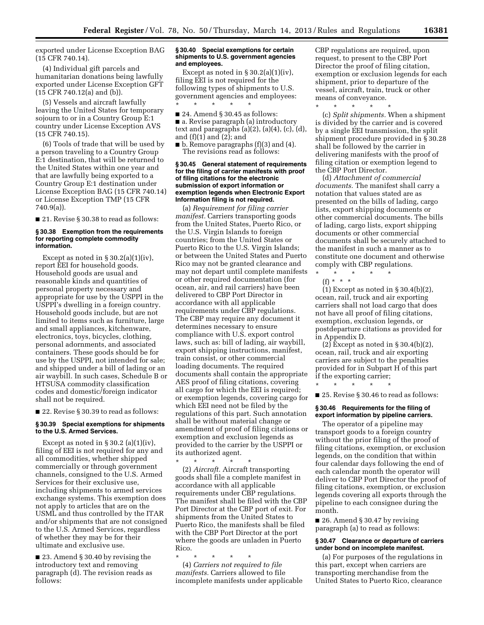exported under License Exception BAG (15 CFR 740.14).

(4) Individual gift parcels and humanitarian donations being lawfully exported under License Exception GFT (15 CFR 740.12(a) and (b)).

(5) Vessels and aircraft lawfully leaving the United States for temporary sojourn to or in a Country Group E:1 country under License Exception AVS (15 CFR 740.15).

(6) Tools of trade that will be used by a person traveling to a Country Group E:1 destination, that will be returned to the United States within one year and that are lawfully being exported to a Country Group E:1 destination under License Exception BAG (15 CFR 740.14) or License Exception TMP (15 CFR 740.9(a)).

■ 21. Revise § 30.38 to read as follows:

#### **§ 30.38 Exemption from the requirements for reporting complete commodity information.**

Except as noted in  $\S 30.2(a)(1)(iv)$ , report EEI for household goods. Household goods are usual and reasonable kinds and quantities of personal property necessary and appropriate for use by the USPPI in the USPPI's dwelling in a foreign country. Household goods include, but are not limited to items such as furniture, large and small appliances, kitchenware, electronics, toys, bicycles, clothing, personal adornments, and associated containers. These goods should be for use by the USPPI, not intended for sale; and shipped under a bill of lading or an air waybill. In such cases, Schedule B or HTSUSA commodity classification codes and domestic/foreign indicator shall not be required.

■ 22. Revise § 30.39 to read as follows:

#### **§ 30.39 Special exemptions for shipments to the U.S. Armed Services.**

Except as noted in  $\S 30.2$  (a)(1)(iv), filing of EEI is not required for any and all commodities, whether shipped commercially or through government channels, consigned to the U.S. Armed Services for their exclusive use, including shipments to armed services exchange systems. This exemption does not apply to articles that are on the USML and thus controlled by the ITAR and/or shipments that are not consigned to the U.S. Armed Services, regardless of whether they may be for their ultimate and exclusive use.

■ 23. Amend § 30.40 by revising the introductory text and removing paragraph (d). The revision reads as follows:

#### **§ 30.40 Special exemptions for certain shipments to U.S. government agencies and employees.**

Except as noted in  $\S 30.2(a)(1)(iv)$ , filing EEI is not required for the following types of shipments to U.S. government agencies and employees: \* \* \* \* \*

 $\blacksquare$  24. Amend § 30.45 as follows: ■ a. Revise paragraph (a) introductory text and paragraphs  $(a)(2)$ ,  $(a)(4)$ ,  $(c)$ ,  $(d)$ , and (f)(1) and (2); and

■ b. Remove paragraphs (f)(3) and (4). The revisions read as follows:

#### **§ 30.45 General statement of requirements for the filing of carrier manifests with proof of filing citations for the electronic submission of export information or exemption legends when Electronic Export Information filing is not required.**

(a) *Requirement for filing carrier manifest.* Carriers transporting goods from the United States, Puerto Rico, or the U.S. Virgin Islands to foreign countries; from the United States or Puerto Rico to the U.S. Virgin Islands; or between the United States and Puerto Rico may not be granted clearance and may not depart until complete manifests or other required documentation (for ocean, air, and rail carriers) have been delivered to CBP Port Director in accordance with all applicable requirements under CBP regulations. The CBP may require any document it determines necessary to ensure compliance with U.S. export control laws, such as: bill of lading, air waybill, export shipping instructions, manifest, train consist, or other commercial loading documents. The required documents shall contain the appropriate AES proof of filing citations, covering all cargo for which the EEI is required; or exemption legends, covering cargo for which EEI need not be filed by the regulations of this part. Such annotation shall be without material change or amendment of proof of filing citations or exemption and exclusion legends as provided to the carrier by the USPPI or its authorized agent.

\* \* \* \* \* (2) *Aircraft.* Aircraft transporting goods shall file a complete manifest in accordance with all applicable requirements under CBP regulations. The manifest shall be filed with the CBP Port Director at the CBP port of exit. For shipments from the United States to Puerto Rico, the manifests shall be filed with the CBP Port Director at the port where the goods are unladen in Puerto Rico.

\* \* \* \* \* (4) *Carriers not required to file manifests.* Carriers allowed to file incomplete manifests under applicable CBP regulations are required, upon request, to present to the CBP Port Director the proof of filing citation, exemption or exclusion legends for each shipment, prior to departure of the vessel, aircraft, train, truck or other means of conveyance.

\* \* \* \* \* (c) *Split shipments.* When a shipment is divided by the carrier and is covered by a single EEI transmission, the split shipment procedure provided in § 30.28 shall be followed by the carrier in delivering manifests with the proof of filing citation or exemption legend to the CBP Port Director.

(d) *Attachment of commercial documents.* The manifest shall carry a notation that values stated are as presented on the bills of lading, cargo lists, export shipping documents or other commercial documents. The bills of lading, cargo lists, export shipping documents or other commercial documents shall be securely attached to the manifest in such a manner as to constitute one document and otherwise comply with CBP regulations.

\* \* \* \* \* (f) \* \* \*

(1) Except as noted in § 30.4(b)(2), ocean, rail, truck and air exporting carriers shall not load cargo that does not have all proof of filing citations, exemption, exclusion legends, or postdeparture citations as provided for in Appendix D.

(2) Except as noted in § 30.4(b)(2), ocean, rail, truck and air exporting carriers are subject to the penalties provided for in Subpart H of this part if the exporting carrier;

■ 25. Revise § 30.46 to read as follows:

\* \* \* \* \*

#### **§ 30.46 Requirements for the filing of export information by pipeline carriers.**

The operator of a pipeline may transport goods to a foreign country without the prior filing of the proof of filing citations, exemption, or exclusion legends, on the condition that within four calendar days following the end of each calendar month the operator will deliver to CBP Port Director the proof of filing citations, exemption, or exclusion legends covering all exports through the pipeline to each consignee during the month.

■ 26. Amend § 30.47 by revising paragraph (a) to read as follows:

#### **§ 30.47 Clearance or departure of carriers under bond on incomplete manifest.**

(a) For purposes of the regulations in this part, except when carriers are transporting merchandise from the United States to Puerto Rico, clearance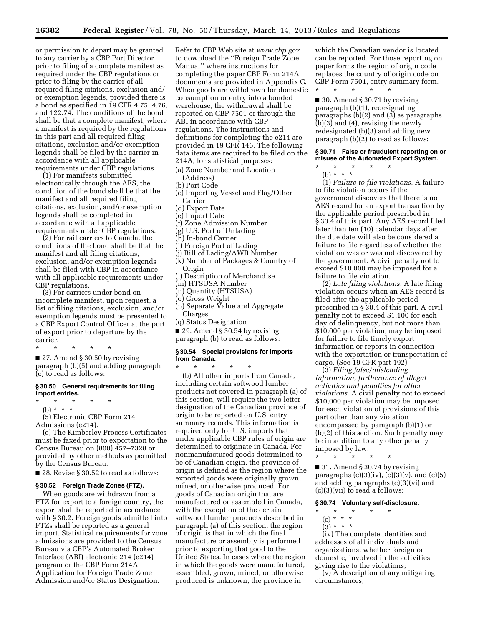or permission to depart may be granted to any carrier by a CBP Port Director prior to filing of a complete manifest as required under the CBP regulations or prior to filing by the carrier of all required filing citations, exclusion and/ or exemption legends, provided there is a bond as specified in 19 CFR 4.75, 4.76, and 122.74. The conditions of the bond shall be that a complete manifest, where a manifest is required by the regulations in this part and all required filing citations, exclusion and/or exemption legends shall be filed by the carrier in accordance with all applicable requirements under CBP regulations.

(1) For manifests submitted electronically through the AES, the condition of the bond shall be that the manifest and all required filing citations, exclusion, and/or exemption legends shall be completed in accordance with all applicable requirements under CBP regulations.

(2) For rail carriers to Canada, the conditions of the bond shall be that the manifest and all filing citations, exclusion, and/or exemption legends shall be filed with CBP in accordance with all applicable requirements under CBP regulations.

(3) For carriers under bond on incomplete manifest, upon request, a list of filing citations, exclusion, and/or exemption legends must be presented to a CBP Export Control Officer at the port of export prior to departure by the carrier.

\* \* \* \* \*

■ 27. Amend § 30.50 by revising paragraph (b)(5) and adding paragraph (c) to read as follows:

#### **§ 30.50 General requirements for filing import entries.**

\* \* \* \* \*

(b) \* \* \*

(5) Electronic CBP Form 214 Admissions (e214).

(c) The Kimberley Process Certificates must be faxed prior to exportation to the Census Bureau on (800) 457–7328 or provided by other methods as permitted by the Census Bureau.

■ 28. Revise § 30.52 to read as follows:

#### **§ 30.52 Foreign Trade Zones (FTZ).**

When goods are withdrawn from a FTZ for export to a foreign country, the export shall be reported in accordance with § 30.2. Foreign goods admitted into FTZs shall be reported as a general import. Statistical requirements for zone admissions are provided to the Census Bureau via CBP's Automated Broker Interface (ABI) electronic 214 (e214) program or the CBP Form 214A Application for Foreign Trade Zone Admission and/or Status Designation.

Refer to CBP Web site at *[www.cbp.gov](http://www.cbp.gov)*  to download the ''Foreign Trade Zone Manual'' where instructions for completing the paper CBP Form 214A documents are provided in Appendix C. When goods are withdrawn for domestic consumption or entry into a bonded warehouse, the withdrawal shall be reported on CBP 7501 or through the ABI in accordance with CBP regulations. The instructions and definitions for completing the e214 are provided in 19 CFR 146. The following data items are required to be filed on the 214A, for statistical purposes:

(a) Zone Number and Location

- (Address)
- (b) Port Code
- (c) Importing Vessel and Flag/Other Carrier
- (d) Export Date
- (e) Import Date
- (f) Zone Admission Number
- (g) U.S. Port of Unlading
- (h) In-bond Carrier
- (i) Foreign Port of Lading
- (j) Bill of Lading/AWB Number
- (k) Number of Packages & Country of Origin
- (l) Description of Merchandise
- (m) HTSUSA Number
- (n) Quantity (HTSUSA)
- (o) Gross Weight
- (p) Separate Value and Aggregate Charges
- (q) Status Designation
- $\blacksquare$  29. Amend § 30.54 by revising paragraph (b) to read as follows:

#### **§ 30.54 Special provisions for imports from Canada.**

\* \* \* \* \* (b) All other imports from Canada, including certain softwood lumber products not covered in paragraph (a) of this section, will require the two letter designation of the Canadian province of origin to be reported on U.S. entry summary records. This information is required only for U.S. imports that under applicable CBP rules of origin are determined to originate in Canada. For nonmanufactured goods determined to be of Canadian origin, the province of origin is defined as the region where the exported goods were originally grown, mined, or otherwise produced. For goods of Canadian origin that are manufactured or assembled in Canada, with the exception of the certain softwood lumber products described in paragraph (a) of this section, the region of origin is that in which the final manufacture or assembly is performed prior to exporting that good to the United States. In cases where the region in which the goods were manufactured, assembled, grown, mined, or otherwise produced is unknown, the province in

which the Canadian vendor is located can be reported. For those reporting on paper forms the region of origin code replaces the country of origin code on CBP Form 7501, entry summary form. \* \* \* \* \*

■ 30. Amend § 30.71 by revising paragraph (b)(1), redesignating paragraphs (b)(2) and (3) as paragraphs (b)(3) and (4), revising the newly redesignated (b)(3) and adding new paragraph (b)(2) to read as follows:

#### **§ 30.71 False or fraudulent reporting on or misuse of the Automated Export System.**

\* \* \* \* \*

(b) \* \* \* (1) *Failure to file violations.* A failure to file violation occurs if the government discovers that there is no AES record for an export transaction by the applicable period prescribed in § 30.4 of this part. Any AES record filed later than ten (10) calendar days after the due date will also be considered a failure to file regardless of whether the violation was or was not discovered by the government. A civil penalty not to exceed \$10,000 may be imposed for a failure to file violation.

(2) *Late filing violations.* A late filing violation occurs when an AES record is filed after the applicable period prescribed in § 30.4 of this part. A civil penalty not to exceed \$1,100 for each day of delinquency, but not more than \$10,000 per violation, may be imposed for failure to file timely export information or reports in connection with the exportation or transportation of cargo. (See 19 CFR part 192)

(3) *Filing false/misleading information, furtherance of illegal activities and penalties for other violations.* A civil penalty not to exceed \$10,000 per violation may be imposed for each violation of provisions of this part other than any violation encompassed by paragraph (b)(1) or (b)(2) of this section. Such penalty may be in addition to any other penalty imposed by law.

■ 31. Amend § 30.74 by revising paragraphs  $(c)(3)(iv)$ ,  $(c)(3)(v)$ , and  $(c)(5)$ and adding paragraphs (c)(3)(vi) and (c)(3)(vii) to read a follows:

#### **§ 30.74 Voluntary self-disclosure.**

\* \* \* \* \* (c) \* \* \*

\* \* \* \* \*

 $(3) * * * *$ 

(iv) The complete identities and addresses of all individuals and organizations, whether foreign or domestic, involved in the activities giving rise to the violations;

(v) A description of any mitigating circumstances;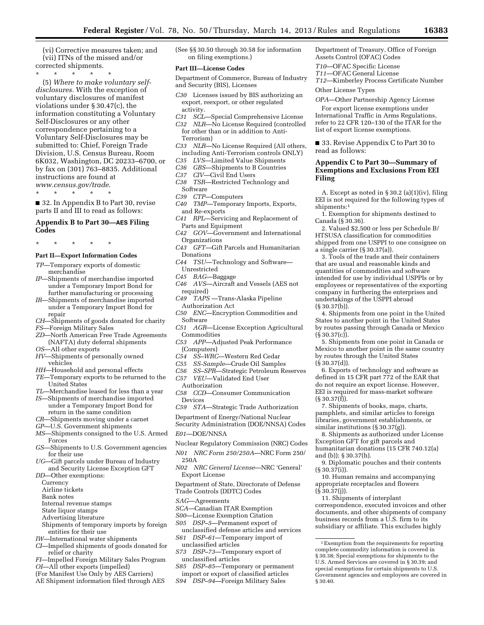(vi) Corrective measures taken; and (vii) ITNs of the missed and/or corrected shipments.

\* \* \* \* \*

(5) *Where to make voluntary selfdisclosures.* With the exception of voluntary disclosures of manifest violations under § 30.47(c), the information constituting a Voluntary Self-Disclosures or any other correspondence pertaining to a Voluntary Self-Disclosures may be submitted to: Chief, Foreign Trade Division, U.S. Census Bureau, Room 6K032, Washington, DC 20233–6700, or by fax on (301) 763–8835. Additional instructions are found at *[www.census.gov/trade](http://www.census.gov/trade)*.

\* \* \* \* \*

■ 32. In Appendix B to Part 30, revise parts II and III to read as follows:

#### **Appendix B to Part 30—AES Filing Codes**

\* \* \* \* \*

#### **Part II—Export Information Codes**

- *TP*—Temporary exports of domestic merchandise
- -Shipments of merchandise imported under a Temporary Import Bond for further manufacturing or processing
- *IR*—Shipments of merchandise imported under a Temporary Import Bond for repair
- *CH*—Shipments of goods donated for charity
- *FS*—Foreign Military Sales
- *ZD*—North American Free Trade Agreements (NAFTA) duty deferral shipments
- *OS*—All other exports
- *HV*—Shipments of personally owned vehicles
- *HH*—Household and personal effects
- *TE*—Temporary exports to be returned to the United States
- *TL*—Merchandise leased for less than a year
- *IS*—Shipments of merchandise imported under a Temporary Import Bond for return in the same condition
- *CR*—Shipments moving under a carnet
- *GP*—U.S. Government shipments
- *MS*—Shipments consigned to the U.S. Armed Forces
- *GS*—Shipments to U.S. Government agencies for their use
- *UG*—Gift parcels under Bureau of Industry and Security License Exception GFT
- *DD*—Other exemptions:
	- **Currency**
- Airline tickets
- Bank notes
- Internal revenue stamps
- State liquor stamps
- Advertising literature
- 
- Shipments of temporary imports by foreign entities for their use
- *IW*—International water shipments
- *CI*—Impelled shipments of goods donated for relief or charity
- *FI*—Impelled Foreign Military Sales Program
- *OI*—All other exports (impelled)
- (For Manifest Use Only by AES Carriers)
- AE Shipment information filed through AES

(See §§ 30.50 through 30.58 for information on filing exemptions.)

#### **Part III—License Codes**

Department of Commerce, Bureau of Industry and Security (BIS), Licenses

- *C30* Licenses issued by BIS authorizing an export, reexport, or other regulated
- activity.<br>C31 SCL *C31 SCL*—Special Comprehensive License
- *C32 NLR*—No License Required (controlled for other than or in addition to Anti-Terrorism)
- *C33 NLR*—No License Required (All others, including Anti-Terrorism controls ONLY)
- *C35 LVS*—Limited Value Shipments
- *C36 GBS*—Shipments to B Countries
- *C37 CIV*—Civil End Users
- *C38 TSR*—Restricted Technology and Software
- *C39 CTP*—Computers
- *C40 TMP*—Temporary Imports, Exports, and Re-exports
- *C41 RPL*—Servicing and Replacement of Parts and Equipment
- *C42 GOV*—Government and International Organizations
- *C43 GFT*—Gift Parcels and Humanitarian Donations
- *C44 TSU*—Technology and Software— Unrestricted
- *C45 BAG*—Baggage
- *C46 AVS*—Aircraft and Vessels (AES not required)
- *C49 TAPS* —Trans-Alaska Pipeline Authorization Act
- *C50 ENC*—Encryption Commodities and Software
- *C51 AGR*—License Exception Agricultural Commodities
- *C53 APP*—Adjusted Peak Performance (Computers)
- *C54 SS–WRC*—Western Red Cedar
- *C55 SS-Sample*—Crude Oil Samples
- *C56 SS–SPR*—Strategic Petroleum Reserves *C57 VEU*—Validated End User
- Authorization *C58 CCD*—Consumer Communication Devices
- *C59 STA*—Strategic Trade Authorization
- Department of Energy/National Nuclear

Security Administration (DOE/NNSA) Codes

#### *E01*—DOE/NNSA

- Nuclear Regulatory Commission (NRC) Codes
- *N01 NRC Form 250/250A*—NRC Form 250/ 250A
- *N02 NRC General License*—NRC 'General' Export License
- Department of State, Directorate of Defense Trade Controls (DDTC) Codes
- *SAG*—Agreements
- *SCA*—Canadian ITAR Exemption
- *S00*—License Exemption Citation
- *S05 DSP–5*—Permanent export of
- unclassified defense articles and services  $S61$  DSP-61—Temporary import of *S61 DSP–61*—Temporary import of
- unclassified articles
- *S73 DSP–73*—Temporary export of unclassified articles
- *S85 DSP–85*—Temporary or permanent
- import or export of classified articles *S94 DSP–94—*Foreign Military Sales

Department of Treasury, Office of Foreign Assets Control (OFAC) Codes

- *T10*—OFAC Specific License
- *T11*—OFAC General License

*T12*—Kimberley Process Certificate Number Other License Types

*OPA*—Other Partnership Agency License For export license exemptions under

International Traffic in Arms Regulations, refer to 22 CFR 120–130 of the ITAR for the list of export license exemptions.

■ 33. Revise Appendix C to Part 30 to read as follows:

#### **Appendix C to Part 30—Summary of Exemptions and Exclusions From EEI Filing**

A. Except as noted in § 30.2 (a)(1)(iv), filing EEI is not required for the following types of shipments:1

1. Exemption for shipments destined to Canada (§ 30.36).

2. Valued \$2,500 or less per Schedule B/ HTSUSA classification for commodities shipped from one USPPI to one consignee on a single carrier (§ 30.37(a)).

3. Tools of the trade and their containers that are usual and reasonable kinds and quantities of commodities and software intended for use by individual USPPIs or by employees or representatives of the exporting company in furthering the enterprises and undertakings of the USPPI abroad  $(\S 30.37(b))$ .

4. Shipments from one point in the United States to another point in the United States by routes passing through Canada or Mexico  $(\S 30.37(c))$ .

5. Shipments from one point in Canada or Mexico to another point in the same country by routes through the United States  $(S30.37(d)).$ 

6. Exports of technology and software as defined in 15 CFR part 772 of the EAR that do not require an export license. However, EEI is required for mass-market software

7. Shipments of books, maps, charts, pamphlets, and similar articles to foreign libraries, government establishments, or similar institutions (§ 30.37(g)).

Exception GFT for gift parcels and humanitarian donations (15 CFR 740.12(a)

11. Shipments of interplant

8. Shipments as authorized under License

9. Diplomatic pouches and their contents

10. Human remains and accompanying appropriate receptacles and flowers

1Exemption from the requirements for reporting complete commodity information is covered in § 30.38; Special exemptions for shipments to the U.S. Armed Services are covered in § 30.39; and special exemptions for certain shipments to U.S. Government agencies and employees are covered in

correspondence, executed invoices and other documents, and other shipments of company business records from a U.S. firm to its subsidiary or affiliate. This excludes highly

§ 30.40.

 $(S 30.37(f)).$ 

(§ 30.37(i)).

 $(\bar{§}\ \bar{3}0.37(i)).$ 

and (b)); § 30.37(h).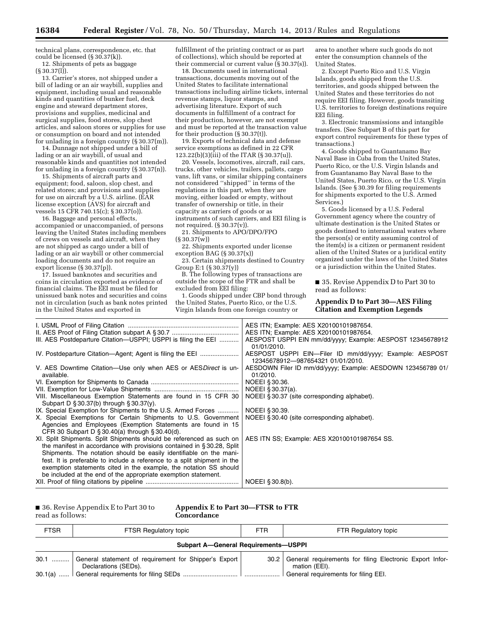technical plans, correspondence, etc. that could be licensed (§ 30.37(k)).

12. Shipments of pets as baggage  $(\$30.37(l)$ ).

13. Carrier's stores, not shipped under a bill of lading or an air waybill, supplies and equipment, including usual and reasonable kinds and quantities of bunker fuel, deck engine and steward department stores, provisions and supplies, medicinal and surgical supplies, food stores, slop chest articles, and saloon stores or supplies for use or consumption on board and not intended for unlading in a foreign country (§ 30.37(m)).

14. Dunnage not shipped under a bill of lading or an air waybill, of usual and reasonable kinds and quantities not intended for unlading in a foreign country (§ 30.37(n)).

15. Shipments of aircraft parts and equipment; food, saloon, slop chest, and related stores; and provisions and supplies for use on aircraft by a U.S. airline. (EAR license exception (AVS) for aircraft and vessels 15 CFR 740.15(c); § 30.37(o)).

16. Baggage and personal effects, accompanied or unaccompanied, of persons leaving the United States including members of crews on vessels and aircraft, when they are not shipped as cargo under a bill of lading or an air waybill or other commercial loading documents and do not require an export license (§ 30.37(p)).

17. Issued banknotes and securities and coins in circulation exported as evidence of financial claims. The EEI must be filed for unissued bank notes and securities and coins not in circulation (such as bank notes printed in the United States and exported in

fulfillment of the printing contract or as part of collections), which should be reported at their commercial or current value  $(\S 30.37(s))$ .

18. Documents used in international transactions, documents moving out of the United States to facilitate international transactions including airline tickets, internal revenue stamps, liquor stamps, and advertising literature. Export of such documents in fulfillment of a contract for their production, however, are not exempt and must be reported at the transaction value for their production (§ 30.37(t)).

19. Exports of technical data and defense service exemptions as defined in 22 CFR 123.22(b)(3)(iii) of the ITAR (§ 30.37(u)).

20. Vessels, locomotives, aircraft, rail cars, trucks, other vehicles, trailers, pallets, cargo vans, lift vans, or similar shipping containers not considered ''shipped'' in terms of the regulations in this part, when they are moving, either loaded or empty, without transfer of ownership or title, in their capacity as carriers of goods or as instruments of such carriers, and EEI filing is not required. (§ 30.37(v)).

21. Shipments to APO/DPO/FPO

(§ 30.37(w))

22. Shipments exported under license exception BAG (§ 30.37(x))

23. Certain shipments destined to Country Group E:1 (§ 30.37(y))

B. The following types of transactions are outside the scope of the FTR and shall be excluded from EEI filing:

1. Goods shipped under CBP bond through the United States, Puerto Rico, or the U.S. Virgin Islands from one foreign country or

area to another where such goods do not enter the consumption channels of the United States.

2. Except Puerto Rico and U.S. Virgin Islands, goods shipped from the U.S. territories, and goods shipped between the United States and these territories do not require EEI filing. However, goods transiting U.S. territories to foreign destinations require EEI filing.

3. Electronic transmissions and intangible transfers. (See Subpart B of this part for export control requirements for these types of transactions.)

4. Goods shipped to Guantanamo Bay Naval Base in Cuba from the United States, Puerto Rico, or the U.S. Virgin Islands and from Guantanamo Bay Naval Base to the United States, Puerto Rico, or the U.S. Virgin Islands. (See § 30.39 for filing requirements for shipments exported to the U.S. Armed Services.)

5. Goods licensed by a U.S. Federal Government agency where the country of ultimate destination is the United States or goods destined to international waters where the person(s) or entity assuming control of the item(s) is a citizen or permanent resident alien of the United States or a juridical entity organized under the laws of the United States or a jurisdiction within the United States.

■ 35. Revise Appendix D to Part 30 to read as follows:

#### **Appendix D to Part 30—AES Filing Citation and Exemption Legends**

|                                                                                                                                                                                                                                                                                                                                                                                                                                             | AES ITN; Example: AES X20100101987654.                                                       |
|---------------------------------------------------------------------------------------------------------------------------------------------------------------------------------------------------------------------------------------------------------------------------------------------------------------------------------------------------------------------------------------------------------------------------------------------|----------------------------------------------------------------------------------------------|
|                                                                                                                                                                                                                                                                                                                                                                                                                                             | AES ITN; Example: AES X20100101987654.                                                       |
| III. AES Postdeparture Citation—USPPI; USPPI is filing the EEI                                                                                                                                                                                                                                                                                                                                                                              | AESPOST USPPI EIN mm/dd/yyyy; Example: AESPOST 12345678912<br>01/01/2010.                    |
| IV. Postdeparture Citation—Agent; Agent is filing the EEI                                                                                                                                                                                                                                                                                                                                                                                   | AESPOST USPPI EIN—Filer ID mm/dd/yyyy; Example: AESPOST<br>12345678912-987654321 01/01/2010. |
| V. AES Downtime Citation—Use only when AES or AES Direct is un-<br>available.                                                                                                                                                                                                                                                                                                                                                               | AESDOWN Filer ID mm/dd/yyyy; Example: AESDOWN 123456789 01/<br>01/2010.                      |
|                                                                                                                                                                                                                                                                                                                                                                                                                                             | NOEEI § 30.36.                                                                               |
|                                                                                                                                                                                                                                                                                                                                                                                                                                             | NOEEI § 30.37(a).                                                                            |
| VIII. Miscellaneous Exemption Statements are found in 15 CFR 30<br>Subpart D $\S 30.37(b)$ through $\S 30.37(v)$ .                                                                                                                                                                                                                                                                                                                          | NOEEI § 30.37 (site corresponding alphabet).                                                 |
| IX. Special Exemption for Shipments to the U.S. Armed Forces                                                                                                                                                                                                                                                                                                                                                                                | NOEEI § 30.39.                                                                               |
| X. Special Exemptions for Certain Shipments to U.S. Government<br>Agencies and Employees (Exemption Statements are found in 15<br>CFR 30 Subpart D $\S 30.40(a)$ through $\S 30.40(d)$ .                                                                                                                                                                                                                                                    | NOEEI §30.40 (site corresponding alphabet).                                                  |
| XI. Split Shipments. Split Shipments should be referenced as such on<br>the manifest in accordance with provisions contained in $\S 30.28$ , Split<br>Shipments. The notation should be easily identifiable on the mani-<br>fest. It is preferable to include a reference to a split shipment in the<br>exemption statements cited in the example, the notation SS should<br>be included at the end of the appropriate exemption statement. | AES ITN SS; Example: AES X20100101987654 SS.                                                 |
|                                                                                                                                                                                                                                                                                                                                                                                                                                             | NOEEI § 30.8(b).                                                                             |
|                                                                                                                                                                                                                                                                                                                                                                                                                                             |                                                                                              |

■ 36. Revise Appendix E to Part 30 to read as follows:

**Appendix E to Part 30—FTSR to FTR Concordance** 

| <b>FTSR</b>                                 | <b>FTSR Regulatory topic</b>                                                            | <b>FTR</b> | FTR Regulatory topic                                                           |  |
|---------------------------------------------|-----------------------------------------------------------------------------------------|------------|--------------------------------------------------------------------------------|--|
| <b>Subpart A-General Requirements-USPPI</b> |                                                                                         |            |                                                                                |  |
|                                             | 30.1    General statement of requirement for Shipper's Export  <br>Declarations (SEDs). |            | 30.2 General requirements for filing Electronic Export Infor-<br>mation (EEI). |  |
|                                             | 30.1(a)  General requirements for filing SEDs                                           |            | General requirements for filing EEI.                                           |  |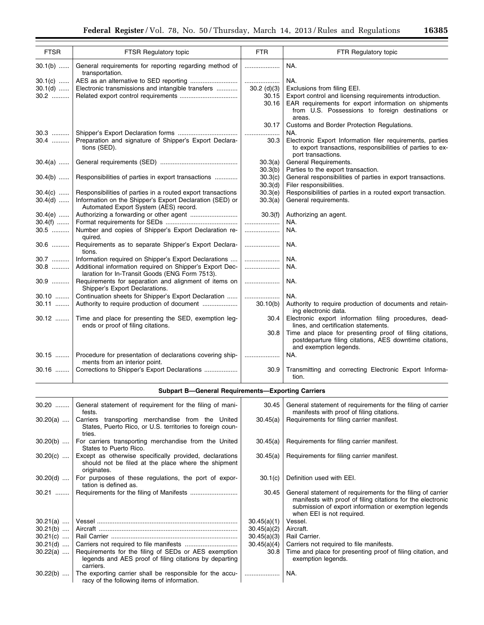| <b>FTSR</b> | <b>FTSR Regulatory topic</b>                                                                                             | FTR           | FTR Regulatory topic                                                                                                                          |  |
|-------------|--------------------------------------------------------------------------------------------------------------------------|---------------|-----------------------------------------------------------------------------------------------------------------------------------------------|--|
| $30.1(b)$   | General requirements for reporting regarding method of<br>transportation.                                                |               | NA.                                                                                                                                           |  |
| $30.1(c)$   |                                                                                                                          |               | NA.                                                                                                                                           |  |
| $30.1(d)$   | Electronic transmissions and intangible transfers                                                                        | $30.2$ (d)(3) | Exclusions from filing EEI.                                                                                                                   |  |
| 30.2        |                                                                                                                          | 30.15         | Export control and licensing requirements introduction.                                                                                       |  |
|             |                                                                                                                          |               |                                                                                                                                               |  |
|             |                                                                                                                          | 30.16         | EAR requirements for export information on shipments<br>from U.S. Possessions to foreign destinations or<br>areas.                            |  |
|             |                                                                                                                          | 30.17         | Customs and Border Protection Regulations.                                                                                                    |  |
| $30.3$      |                                                                                                                          |               | NA.                                                                                                                                           |  |
| $30.4$      | Preparation and signature of Shipper's Export Declara-<br>tions (SED).                                                   | 30.3          | Electronic Export Information filer requirements, parties<br>to export transactions, responsibilities of parties to ex-<br>port transactions. |  |
| $30.4(a)$   |                                                                                                                          | 30.3(a)       | General Requirements.                                                                                                                         |  |
|             |                                                                                                                          | 30.3(b)       | Parties to the export transaction.                                                                                                            |  |
| $30.4(b)$   | Responsibilities of parties in export transactions                                                                       | 30.3(c)       | General responsibilities of parties in export transactions.                                                                                   |  |
|             |                                                                                                                          | 30.3(d)       | Filer responsibilities.                                                                                                                       |  |
|             |                                                                                                                          |               |                                                                                                                                               |  |
| $30.4(c)$   | Responsibilities of parties in a routed export transactions                                                              | 30.3(e)       | Responsibilities of parties in a routed export transaction.                                                                                   |  |
| $30.4(d)$   | Information on the Shipper's Export Declaration (SED) or<br>Automated Export System (AES) record.                        | 30.3(a)       | General requirements.                                                                                                                         |  |
| $30.4(e)$   |                                                                                                                          | 30.3(f)       | Authorizing an agent.                                                                                                                         |  |
| $30.4(f)$   |                                                                                                                          | .             | NA.                                                                                                                                           |  |
| $30.5$      | Number and copies of Shipper's Export Declaration re-<br>quired.                                                         | .             | NA.                                                                                                                                           |  |
| $30.6$      | Requirements as to separate Shipper's Export Declara-<br>tions.                                                          |               | NA.                                                                                                                                           |  |
| $30.7$      | Information required on Shipper's Export Declarations                                                                    |               | NA.                                                                                                                                           |  |
| $30.8$      | Additional information required on Shipper's Export Dec-<br>laration for In-Transit Goods (ENG Form 7513).               |               | NA.                                                                                                                                           |  |
| $30.9$      | Requirements for separation and alignment of items on<br>Shipper's Export Declarations.                                  |               | NA.                                                                                                                                           |  |
| $30.10$     | Continuation sheets for Shipper's Export Declaration                                                                     | .             | NA.                                                                                                                                           |  |
| 30.11       | Authority to require production of document                                                                              | 30.10(b)      | Authority to require production of documents and retain-<br>ing electronic data.                                                              |  |
| 30.12       | Time and place for presenting the SED, exemption leg-<br>ends or proof of filing citations.                              | 30.4          | Electronic export information filing procedures, dead-<br>lines, and certification statements.                                                |  |
|             |                                                                                                                          | 30.8          | Time and place for presenting proof of filing citations,<br>postdeparture filing citations, AES downtime citations,                           |  |
|             |                                                                                                                          |               | and exemption legends.                                                                                                                        |  |
|             | 30.15    Procedure for presentation of declarations covering ship-<br>ments from an interior point.                      | .             | NA.                                                                                                                                           |  |
| $30.16$     | Corrections to Shipper's Export Declarations                                                                             | 30.9          | Transmitting and correcting Electronic Export Informa-<br>tion.                                                                               |  |
|             | <b>Subpart B-General Requirements-Exporting Carriers</b>                                                                 |               |                                                                                                                                               |  |
|             |                                                                                                                          |               |                                                                                                                                               |  |
| 30.20       | General statement of requirement for the filing of mani-<br>fests.                                                       | 30.45         | General statement of requirements for the filing of carrier<br>manifests with proof of filing citations.                                      |  |
| $30.20(a)$  | Carriers transporting merchandise from the United<br>States, Puerto Rico, or U.S. territories to foreign coun-<br>tries. | 30.45(a)      | Requirements for filing carrier manifest.                                                                                                     |  |
| $30.20(b)$  | For carriers transporting merchandise from the United<br>States to Puerto Rico.                                          | 30.45(a)      | Requirements for filing carrier manifest.                                                                                                     |  |
| $30.20(c)$  | Except as otherwise specifically provided, declarations<br>should not be filed at the place where the shipment           | 30.45(a)      | Requirements for filing carrier manifest.                                                                                                     |  |
| $30.20(d)$  | originates.<br>For purposes of these regulations, the port of expor-<br>tation is defined as.                            | 30.1(c)       | Definition used with EEI.                                                                                                                     |  |

30.21 ........ Requirements for the filing of Manifests ........................... 30.45 General statement of requirements for the filing of carrier manifests with proof of filing citations for the electronic submission of export information or exemption legends when EEI is not required.

|                                                                                                                                        |             | when EEI is not required.                                                              |
|----------------------------------------------------------------------------------------------------------------------------------------|-------------|----------------------------------------------------------------------------------------|
|                                                                                                                                        | 30.45(a)(1) | Vessel.                                                                                |
|                                                                                                                                        | 30.45(a)(2) | Aircraft.                                                                              |
|                                                                                                                                        | 30.45(a)(3) | Rail Carrier.                                                                          |
| 30.21(d)  Carriers not required to file manifests                                                                                      |             | $30.45(a)(4)$ Carriers not required to file manifests.                                 |
| $30.22(a)$ Requirements for the filing of SEDs or AES exemption<br>legends and AES proof of filing citations by departing<br>carriers. |             | 30.8 Time and place for presenting proof of filing citation, and<br>exemption legends. |
| $30.22(b)$ The exporting carrier shall be responsible for the accu-  <br>racy of the following items of information.                   |             | NA.                                                                                    |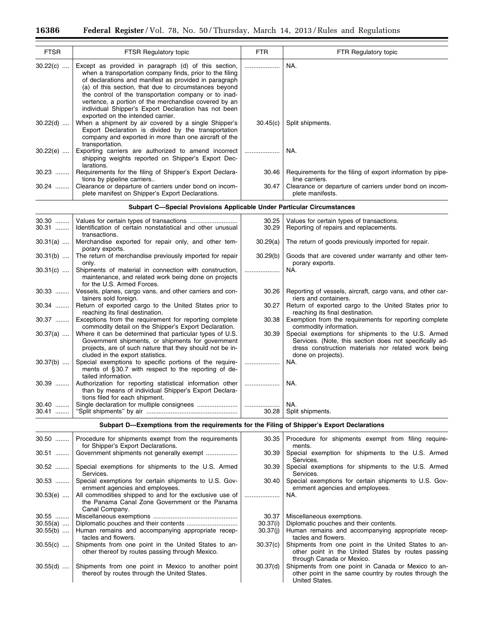| <b>FTSR</b>            | FTSR Regulatory topic                                                                                                                                                                                                                                                                                                                                                                                       | <b>FTR</b>           | FTR Regulatory topic                                                                                                                                                                              |
|------------------------|-------------------------------------------------------------------------------------------------------------------------------------------------------------------------------------------------------------------------------------------------------------------------------------------------------------------------------------------------------------------------------------------------------------|----------------------|---------------------------------------------------------------------------------------------------------------------------------------------------------------------------------------------------|
| $30.22(c)$             | Except as provided in paragraph (d) of this section,<br>when a transportation company finds, prior to the filing<br>of declarations and manifest as provided in paragraph<br>(a) of this section, that due to circumstances beyond<br>the control of the transportation company or to inad-<br>vertence, a portion of the merchandise covered by an<br>individual Shipper's Export Declaration has not been |                      | NA.                                                                                                                                                                                               |
| $30.22(d)$             | exported on the intended carrier.<br>When a shipment by air covered by a single Shipper's<br>Export Declaration is divided by the transportation<br>company and exported in more than one aircraft of the<br>transportation.                                                                                                                                                                                | 30.45(c)             | Split shipments.                                                                                                                                                                                  |
| $30.22(e)$             | Exporting carriers are authorized to amend incorrect<br>shipping weights reported on Shipper's Export Dec-<br>larations.                                                                                                                                                                                                                                                                                    | .                    | NA.                                                                                                                                                                                               |
| 30.23                  | Requirements for the filing of Shipper's Export Declara-<br>tions by pipeline carriers                                                                                                                                                                                                                                                                                                                      | 30.46                | Requirements for the filing of export information by pipe-<br>line carriers.                                                                                                                      |
| 30.24                  | Clearance or departure of carriers under bond on incom-<br>plete manifest on Shipper's Export Declarations.                                                                                                                                                                                                                                                                                                 | 30.47                | Clearance or departure of carriers under bond on incom-<br>plete manifests.                                                                                                                       |
|                        | <b>Subpart C-Special Provisions Applicable Under Particular Circumstances</b>                                                                                                                                                                                                                                                                                                                               |                      |                                                                                                                                                                                                   |
| $30.30$<br>30.31       | Identification of certain nonstatistical and other unusual<br>transactions.                                                                                                                                                                                                                                                                                                                                 | 30.25<br>30.29       | Values for certain types of transactions.<br>Reporting of repairs and replacements.                                                                                                               |
| $30.31(a)$             | Merchandise exported for repair only, and other tem-<br>porary exports.                                                                                                                                                                                                                                                                                                                                     | 30.29(a)             | The return of goods previously imported for repair.                                                                                                                                               |
| $30.31(b)$             | The return of merchandise previously imported for repair<br>only.                                                                                                                                                                                                                                                                                                                                           | 30.29(b)             | Goods that are covered under warranty and other tem-<br>porary exports.                                                                                                                           |
| $30.31(c)$             | Shipments of material in connection with construction,<br>maintenance, and related work being done on projects<br>for the U.S. Armed Forces.                                                                                                                                                                                                                                                                |                      | NA.                                                                                                                                                                                               |
| $30.33$                | Vessels, planes, cargo vans, and other carriers and con-<br>tainers sold foreign.                                                                                                                                                                                                                                                                                                                           | 30.26                | Reporting of vessels, aircraft, cargo vans, and other car-<br>riers and containers.                                                                                                               |
| 30.34                  | Return of exported cargo to the United States prior to<br>reaching its final destination.                                                                                                                                                                                                                                                                                                                   | 30.27                | Return of exported cargo to the United States prior to<br>reaching its final destination.                                                                                                         |
| 30.37<br>$30.37(a)$    | Exceptions from the requirement for reporting complete<br>commodity detail on the Shipper's Export Declaration.<br>Where it can be determined that particular types of U.S.<br>Government shipments, or shipments for government                                                                                                                                                                            | 30.38<br>30.39       | Exemption from the requirements for reporting complete<br>commodity information.<br>Special exemptions for shipments to the U.S. Armed<br>Services. (Note, this section does not specifically ad- |
| $30.37(b)$             | projects, are of such nature that they should not be in-<br>cluded in the export statistics.<br>Special exemptions to specific portions of the require-<br>ments of §30.7 with respect to the reporting of de-                                                                                                                                                                                              |                      | dress construction materials nor related work being<br>done on projects).<br>NA.                                                                                                                  |
| $30.39$                | tailed information.<br>Authorization for reporting statistical information other<br>than by means of individual Shipper's Export Declara-                                                                                                                                                                                                                                                                   |                      | NA.                                                                                                                                                                                               |
| 30.40                  | tions filed for each shipment.                                                                                                                                                                                                                                                                                                                                                                              |                      | NA.                                                                                                                                                                                               |
| 30.41                  |                                                                                                                                                                                                                                                                                                                                                                                                             | 30.28                | Split shipments.                                                                                                                                                                                  |
|                        | Subpart D—Exemptions from the requirements for the Filing of Shipper's Export Declarations                                                                                                                                                                                                                                                                                                                  |                      |                                                                                                                                                                                                   |
| 30.50                  | Procedure for shipments exempt from the requirements<br>for Shipper's Export Declarations.                                                                                                                                                                                                                                                                                                                  | 30.35                | Procedure for shipments exempt from filing require-<br>ments.                                                                                                                                     |
| 30.51<br>30.52         | Government shipments not generally exempt<br>Special exemptions for shipments to the U.S. Armed                                                                                                                                                                                                                                                                                                             | 30.39<br>30.39       | Special exemption for shipments to the U.S. Armed<br>Services.<br>Special exemptions for shipments to the U.S. Armed                                                                              |
| 30.53                  | Services.<br>Special exemptions for certain shipments to U.S. Gov-                                                                                                                                                                                                                                                                                                                                          | 30.40                | Services.<br>Special exemptions for certain shipments to U.S. Gov-                                                                                                                                |
| $30.53(e)$             | ernment agencies and employees.<br>All commodities shipped to and for the exclusive use of                                                                                                                                                                                                                                                                                                                  | .                    | ernment agencies and employees.<br>NA.                                                                                                                                                            |
| 30.55                  | the Panama Canal Zone Government or the Panama<br>Canal Company.                                                                                                                                                                                                                                                                                                                                            | 30.37                | Miscellaneous exemptions.                                                                                                                                                                         |
| 30.55(a)<br>$30.55(b)$ | Human remains and accompanying appropriate recep-<br>tacles and flowers.                                                                                                                                                                                                                                                                                                                                    | 30.37(i)<br>30.37(j) | Diplomatic pouches and their contents.<br>Human remains and accompanying appropriate recep-<br>tacles and flowers.                                                                                |
| 30.55(c)               | Shipments from one point in the United States to an-<br>other thereof by routes passing through Mexico.                                                                                                                                                                                                                                                                                                     | 30.37(c)             | Shipments from one point in the United States to an-<br>other point in the United States by routes passing<br>through Canada or Mexico.                                                           |
| 30.55(d)               | Shipments from one point in Mexico to another point<br>thereof by routes through the United States.                                                                                                                                                                                                                                                                                                         | 30.37(d)             | Shipments from one point in Canada or Mexico to an-<br>other point in the same country by routes through the<br>United States.                                                                    |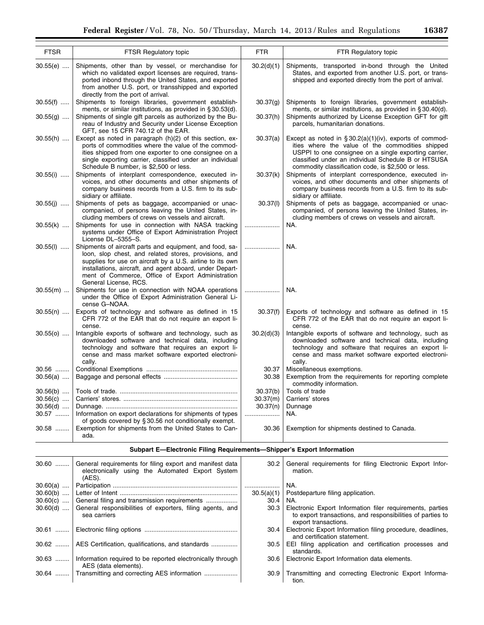| <b>FTSR</b> | FTSR Regulatory topic                                                                                                                                                                                                                                                                                                    | <b>FTR</b> | FTR Regulatory topic                                                                                                                                                                                                                                                                  |
|-------------|--------------------------------------------------------------------------------------------------------------------------------------------------------------------------------------------------------------------------------------------------------------------------------------------------------------------------|------------|---------------------------------------------------------------------------------------------------------------------------------------------------------------------------------------------------------------------------------------------------------------------------------------|
| $30.55(e)$  | Shipments, other than by vessel, or merchandise for<br>which no validated export licenses are required, trans-<br>ported inbond through the United States, and exported<br>from another U.S. port, or transshipped and exported<br>directly from the port of arrival.                                                    | 30.2(d)(1) | Shipments, transported in-bond through the United<br>States, and exported from another U.S. port, or trans-<br>shipped and exported directly from the port of arrival.                                                                                                                |
| $30.55(f)$  | Shipments to foreign libraries, government establish-<br>ments, or similar institutions, as provided in §30.53(d).                                                                                                                                                                                                       | 30.37(g)   | Shipments to foreign libraries, government establish-<br>ments, or similar institutions, as provided in $\S 30.40(d)$ .                                                                                                                                                               |
| $30.55(g)$  | Shipments of single gift parcels as authorized by the Bu-<br>reau of Industry and Security under License Exception<br>GFT, see 15 CFR 740.12 of the EAR.                                                                                                                                                                 | 30.37(h)   | Shipments authorized by License Exception GFT for gift<br>parcels, humanitarian donations.                                                                                                                                                                                            |
| $30.55(h)$  | Except as noted in paragraph $(h)(2)$ of this section, ex-<br>ports of commodities where the value of the commod-<br>ities shipped from one exporter to one consignee on a<br>single exporting carrier, classified under an individual<br>Schedule B number, is \$2,500 or less.                                         | 30.37(a)   | Except as noted in $\S 30.2(a)(1)(iv)$ , exports of commod-<br>ities where the value of the commodities shipped<br>USPPI to one consignee on a single exporting carrier,<br>classified under an individual Schedule B or HTSUSA<br>commodity classification code, is \$2,500 or less. |
| $30.55(i)$  | Shipments of interplant correspondence, executed in-<br>voices, and other documents and other shipments of<br>company business records from a U.S. firm to its sub-<br>sidiary or affiliate.                                                                                                                             | 30.37(k)   | Shipments of interplant correspondence, executed in-<br>voices, and other documents and other shipments of<br>company business records from a U.S. firm to its sub-<br>sidiary or affiliate.                                                                                          |
| $30.55(i)$  | Shipments of pets as baggage, accompanied or unac-<br>companied, of persons leaving the United States, in-<br>cluding members of crews on vessels and aircraft.                                                                                                                                                          | 30.37(l)   | Shipments of pets as baggage, accompanied or unac-<br>companied, of persons leaving the United States, in-<br>cluding members of crews on vessels and aircraft.                                                                                                                       |
| $30.55(k)$  | Shipments for use in connection with NASA tracking<br>systems under Office of Export Administration Project<br>License DL-5355-S.                                                                                                                                                                                        | .          | NA.                                                                                                                                                                                                                                                                                   |
| $30.55(l)$  | Shipments of aircraft parts and equipment, and food, sa-<br>loon, slop chest, and related stores, provisions, and<br>supplies for use on aircraft by a U.S. airline to its own<br>installations, aircraft, and agent aboard, under Depart-<br>ment of Commerce, Office of Export Administration<br>General License, RCS. | .          | NA.                                                                                                                                                                                                                                                                                   |
| $30.55(m)$  | Shipments for use in connection with NOAA operations<br>under the Office of Export Administration General Li-<br>cense G-NOAA.                                                                                                                                                                                           | .          | NA.                                                                                                                                                                                                                                                                                   |
| $30.55(n)$  | Exports of technology and software as defined in 15<br>CFR 772 of the EAR that do not require an export li-<br>cense.                                                                                                                                                                                                    | 30.37(f)   | Exports of technology and software as defined in 15<br>CFR 772 of the EAR that do not require an export li-<br>cense.                                                                                                                                                                 |
| $30.55(0)$  | Intangible exports of software and technology, such as<br>downloaded software and technical data, including<br>technology and software that requires an export li-<br>cense and mass market software exported electroni-<br>cally.                                                                                       | 30.2(d)(3) | Intangible exports of software and technology, such as<br>downloaded software and technical data, including<br>technology and software that requires an export li-<br>cense and mass market software exported electroni-<br>cally.                                                    |
| $30.56$     |                                                                                                                                                                                                                                                                                                                          | 30.37      | Miscellaneous exemptions.                                                                                                                                                                                                                                                             |
| $30.56(a)$  |                                                                                                                                                                                                                                                                                                                          | 30.38      | Exemption from the requirements for reporting complete<br>commodity information.                                                                                                                                                                                                      |
| $30.56(b)$  |                                                                                                                                                                                                                                                                                                                          | 30.37(b)   | Tools of trade                                                                                                                                                                                                                                                                        |
| 30.56(c)    |                                                                                                                                                                                                                                                                                                                          | 30.37(m)   | Carriers' stores                                                                                                                                                                                                                                                                      |
| $30.56(d)$  |                                                                                                                                                                                                                                                                                                                          | 30.37(n)   | Dunnage                                                                                                                                                                                                                                                                               |
| 30.57       | Information on export declarations for shipments of types<br>of goods covered by §30.56 not conditionally exempt.                                                                                                                                                                                                        | .          | NA.                                                                                                                                                                                                                                                                                   |
| 30.58       | Exemption for shipments from the United States to Can-<br>ada.                                                                                                                                                                                                                                                           | 30.36      | Exemption for shipments destined to Canada.                                                                                                                                                                                                                                           |
|             | Subpart E-Electronic Filing Requirements-Shipper's Export Information                                                                                                                                                                                                                                                    |            |                                                                                                                                                                                                                                                                                       |

|            | 30.60  General requirements for filing export and manifest data<br>electronically using the Automated Export System<br>(AES). | 30.2       | General requirements for filing Electronic Export Infor-<br>mation.                                                                             |
|------------|-------------------------------------------------------------------------------------------------------------------------------|------------|-------------------------------------------------------------------------------------------------------------------------------------------------|
| $30.60(a)$ |                                                                                                                               |            | NA.                                                                                                                                             |
| $30.60(b)$ |                                                                                                                               | 30.5(a)(1) | Postdeparture filing application.                                                                                                               |
|            | 30.60(c)  General filing and transmission requirements                                                                        | 30.4       | NA.                                                                                                                                             |
| $30.60(d)$ | General responsibilities of exporters, filing agents, and<br>sea carriers                                                     | 30.3       | Electronic Export Information filer requirements, parties<br>to export transactions, and responsibilities of parties to<br>export transactions. |
| 30.61      |                                                                                                                               | 30.4       | Electronic Export Information filing procedure, deadlines,<br>and certification statement.                                                      |
| 30.62      | AES Certification, qualifications, and standards                                                                              | 30.5       | EEI filing application and certification processes and<br>standards.                                                                            |
| $30.63$    | Information required to be reported electronically through<br>AES (data elements).                                            | 30.6       | Electronic Export Information data elements.                                                                                                    |
|            | 30.64  Transmitting and correcting AES information                                                                            | 30.9       | Transmitting and correcting Electronic Export Informa-<br>tion.                                                                                 |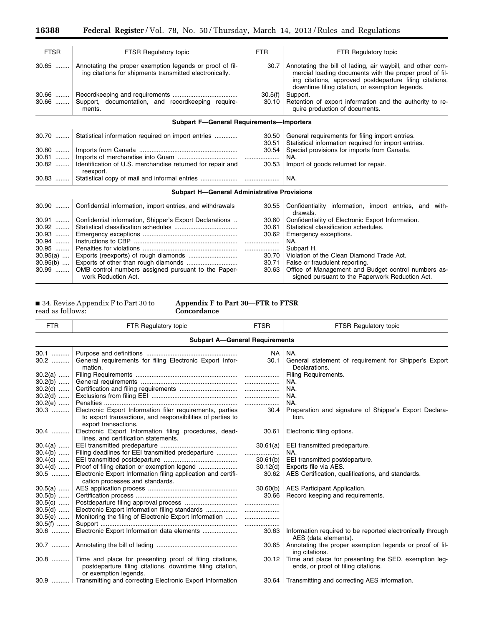$\equiv$ 

| <b>FTSR</b>                                                                 | <b>FTSR Regulatory topic</b>                                                                                                                                                              | <b>FTR</b>                                              | FTR Regulatory topic                                                                                                                                                                                                                                                                                                              |
|-----------------------------------------------------------------------------|-------------------------------------------------------------------------------------------------------------------------------------------------------------------------------------------|---------------------------------------------------------|-----------------------------------------------------------------------------------------------------------------------------------------------------------------------------------------------------------------------------------------------------------------------------------------------------------------------------------|
| $30.65$                                                                     | Annotating the proper exemption legends or proof of fil-<br>ing citations for shipments transmitted electronically.                                                                       | 30.7                                                    | Annotating the bill of lading, air waybill, and other com-<br>mercial loading documents with the proper proof of fil-<br>ing citations, approved postdeparture filing citations,<br>downtime filing citation, or exemption legends.                                                                                               |
| 30.66   <br>$30.66$                                                         | Support, documentation, and recordkeeping require-<br>ments.                                                                                                                              | 30.5(f)<br>30.10                                        | Support.<br>Retention of export information and the authority to re-<br>quire production of documents.                                                                                                                                                                                                                            |
|                                                                             | <b>Subpart F-General Requirements-Importers</b>                                                                                                                                           |                                                         |                                                                                                                                                                                                                                                                                                                                   |
| $30.70$                                                                     | Statistical information required on import entries                                                                                                                                        | 30.50<br>30.51                                          | General requirements for filing import entries.<br>Statistical information required for import entries.                                                                                                                                                                                                                           |
| $30.80$<br>$30.81$                                                          |                                                                                                                                                                                           | 30.54                                                   | Special provisions for imports from Canada.<br>NA.                                                                                                                                                                                                                                                                                |
| $30.82$                                                                     | Identification of U.S. merchandise returned for repair and<br>reexport.                                                                                                                   | 30.53                                                   | Import of goods returned for repair.                                                                                                                                                                                                                                                                                              |
| $30.83$                                                                     |                                                                                                                                                                                           |                                                         | NA.                                                                                                                                                                                                                                                                                                                               |
|                                                                             | <b>Subpart H-General Administrative Provisions</b>                                                                                                                                        |                                                         |                                                                                                                                                                                                                                                                                                                                   |
| $30.90$                                                                     | Confidential information, import entries, and withdrawals                                                                                                                                 | 30.55                                                   | Confidentiality information, import entries, and with-<br>drawals.                                                                                                                                                                                                                                                                |
| $30.91$<br>30.92<br>$30.93$<br>30.94   <br>$30.95$<br>$30.95(a)$<br>$30.99$ | Confidential information, Shipper's Export Declarations<br>30.95(b)    Exports of other than rough diamonds<br>OMB control numbers assigned pursuant to the Paper-<br>work Reduction Act. | 30.60<br>30.61<br>30.62<br>.<br>30.70<br>30.71<br>30.63 | Confidentiality of Electronic Export Information.<br>Statistical classification schedules.<br>Emergency exceptions.<br>NA.<br>Subpart H.<br>Violation of the Clean Diamond Trade Act.<br>False or fraudulent reporting.<br>Office of Management and Budget control numbers as-<br>signed pursuant to the Paperwork Reduction Act. |

■ 34. Revise Appendix F to Part 30 to read as follows:

**Appendix F to Part 30—FTR to FTSR Concordance** 

| <b>FTR</b>                            | FTR Regulatory topic                                                                                                                                 | <b>FTSR</b>     | <b>FTSR Regulatory topic</b>                                                                 |  |  |
|---------------------------------------|------------------------------------------------------------------------------------------------------------------------------------------------------|-----------------|----------------------------------------------------------------------------------------------|--|--|
| <b>Subpart A-General Requirements</b> |                                                                                                                                                      |                 |                                                                                              |  |  |
| $30.1$                                |                                                                                                                                                      | NA.             | NA.                                                                                          |  |  |
| $30.2$                                | General requirements for filing Electronic Export Infor-<br>mation.                                                                                  | 30.1            | General statement of requirement for Shipper's Export<br>Declarations.                       |  |  |
| $30.2(a)$                             |                                                                                                                                                      |                 | Filing Requirements.                                                                         |  |  |
| $30.2(b)$                             |                                                                                                                                                      | .               | NA.                                                                                          |  |  |
| $30.2(c)$                             |                                                                                                                                                      | │ ………………… │ NA. |                                                                                              |  |  |
| $30.2(d)$                             |                                                                                                                                                      | NA.             |                                                                                              |  |  |
| $30.2(e)$                             |                                                                                                                                                      | NA.             |                                                                                              |  |  |
| $30.3$                                | Electronic Export Information filer requirements, parties                                                                                            | 30.4            | Preparation and signature of Shipper's Export Declara-                                       |  |  |
|                                       | to export transactions, and responsibilities of parties to<br>export transactions.                                                                   |                 | tion.                                                                                        |  |  |
| $30.4$                                | Electronic Export Information filing procedures, dead-<br>lines, and certification statements.                                                       | 30.61           | Electronic filing options.                                                                   |  |  |
| $30.4(a)$                             |                                                                                                                                                      | 30.61(a)        | EEI transmitted predeparture.                                                                |  |  |
| $30.4(b)$                             | Filing deadlines for EEI transmitted predeparture                                                                                                    | .               | NA.                                                                                          |  |  |
| $30.4(c)$                             |                                                                                                                                                      | 30.61(b)        | EEI transmitted postdeparture.                                                               |  |  |
| $30.4(d)$                             |                                                                                                                                                      | 30.12(d)        | Exports file via AES.                                                                        |  |  |
| $30.5$                                | Electronic Export Information filing application and certifi-<br>cation processes and standards.                                                     | 30.62           | AES Certification, qualifications, and standards.                                            |  |  |
| $30.5(a)$                             |                                                                                                                                                      | 30.60(b)        | AES Participant Application.                                                                 |  |  |
| $30.5(b)$                             |                                                                                                                                                      | 30.66           | Record keeping and requirements.                                                             |  |  |
| $30.5(c)$                             |                                                                                                                                                      |                 |                                                                                              |  |  |
| $30.5(d)$                             | Electronic Export Information filing standards                                                                                                       |                 |                                                                                              |  |  |
| $30.5(e)$                             | Monitoring the filing of Electronic Export Information                                                                                               |                 |                                                                                              |  |  |
| $30.5(f)$                             |                                                                                                                                                      |                 |                                                                                              |  |  |
| $30.6$                                | Electronic Export Information data elements                                                                                                          | 30.63           | Information required to be reported electronically through<br>AES (data elements).           |  |  |
|                                       |                                                                                                                                                      | 30.65           | Annotating the proper exemption legends or proof of fil-<br>ing citations.                   |  |  |
|                                       | 30.8  Time and place for presenting proof of filing citations,<br>postdeparture filing citations, downtime filing citation,<br>or exemption legends. | 30.12           | Time and place for presenting the SED, exemption leg-<br>ends, or proof of filing citations. |  |  |
|                                       | 30.9  Transmitting and correcting Electronic Export Information                                                                                      |                 | 30.64   Transmitting and correcting AES information.                                         |  |  |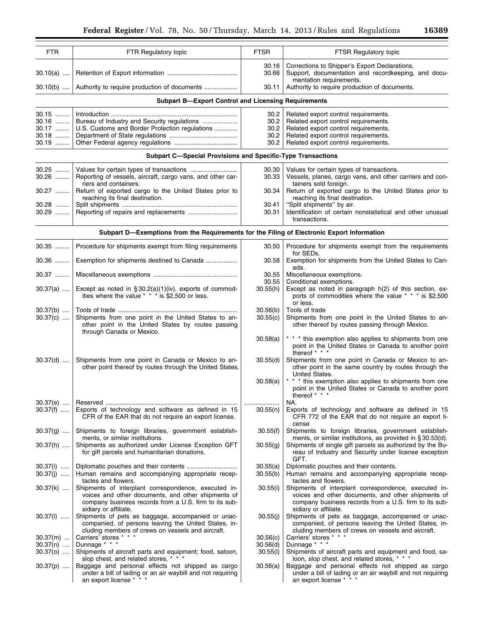| <b>FTR</b>             | FTR Regulatory topic                                                                                                                                                                         | <b>FTSR</b>          | <b>FTSR Regulatory topic</b>                                                                                                                                                                 |
|------------------------|----------------------------------------------------------------------------------------------------------------------------------------------------------------------------------------------|----------------------|----------------------------------------------------------------------------------------------------------------------------------------------------------------------------------------------|
| 30.10(a)               |                                                                                                                                                                                              | 30.16<br>30.66       | Corrections to Shipper's Export Declarations.<br>Support, documentation and recordkeeping, and docu-<br>mentation requirements.                                                              |
| 30.10(b)               | Authority to require production of documents                                                                                                                                                 | 30.11                | Authority to require production of documents.                                                                                                                                                |
|                        | <b>Subpart B-Export Control and Licensing Requirements</b>                                                                                                                                   |                      |                                                                                                                                                                                              |
| 30.15                  |                                                                                                                                                                                              | 30.2                 | Related export control requirements.                                                                                                                                                         |
| 30.16                  | Bureau of Industry and Security regulations                                                                                                                                                  | 30.2                 | Related export control requirements.                                                                                                                                                         |
| 30.17<br>30.18         | U.S. Customs and Border Protection regulations                                                                                                                                               | 30.2<br>30.2         | Related export control requirements.<br>Related export control requirements.                                                                                                                 |
| $30.19$                |                                                                                                                                                                                              | 30.2                 | Related export control requirements.                                                                                                                                                         |
|                        | Subpart C-Special Provisions and Specific-Type Transactions                                                                                                                                  |                      |                                                                                                                                                                                              |
| 30.25                  |                                                                                                                                                                                              | 30.30                | Values for certain types of transactions.                                                                                                                                                    |
| 30.26                  | Reporting of vessels, aircraft, cargo vans, and other car-<br>riers and containers.                                                                                                          | 30.33                | Vessels, planes, cargo vans, and other carriers and con-<br>tainers sold foreign.                                                                                                            |
| 30.27<br>30.28         | Return of exported cargo to the United States prior to<br>reaching its final destination.                                                                                                    | 30.34<br>30.41       | Return of exported cargo to the United States prior to<br>reaching its final destination.                                                                                                    |
| 30.29                  |                                                                                                                                                                                              | 30.31                | "Split shipments" by air.<br>Identification of certain nonstatistical and other unusual                                                                                                      |
|                        |                                                                                                                                                                                              |                      | transactions.                                                                                                                                                                                |
|                        | Subpart D—Exemptions from the Requirements for the Filing of Electronic Export Information                                                                                                   |                      |                                                                                                                                                                                              |
| 30.35                  | Procedure for shipments exempt from filing requirements                                                                                                                                      | 30.50                | Procedure for shipments exempt from the requirements<br>for SEDs.                                                                                                                            |
| 30.36                  | Exemption for shipments destined to Canada                                                                                                                                                   | 30.58                | Exemption for shipments from the United States to Can-<br>ada.                                                                                                                               |
| 30.37                  |                                                                                                                                                                                              | 30.55<br>30.55       | Miscellaneous exemptions.<br>Conditional exemptions.                                                                                                                                         |
| 30.37(a)               | Except as noted in $\S 30.2(a)(1)(iv)$ , exports of commod-<br>ities where the value * * * is \$2,500 or less.                                                                               | 30.55(h)             | Except as noted in paragraph h(2) of this section, ex-<br>ports of commodities where the value $* * * is $2,500$<br>or less.                                                                 |
| $30.37(b)$             |                                                                                                                                                                                              | 30.56(b)             | Tools of trade                                                                                                                                                                               |
| 30.37(c)               | Shipments from one point in the United States to an-<br>other point in the United States by routes passing<br>through Canada or Mexico.                                                      | 30.55(c)             | Shipments from one point in the United States to an-<br>other thereof by routes passing through Mexico.                                                                                      |
|                        |                                                                                                                                                                                              | 30.58(a)             | * * * this exemption also applies to shipments from one<br>point in the United States or Canada to another point<br>thereof $* * *$                                                          |
| 30.37(d)               | Shipments from one point in Canada or Mexico to an-<br>other point thereof by routes through the United States.                                                                              | 30.55(d)             | Shipments from one point in Canada or Mexico to an-<br>other point in the same country by routes through the<br>United States.                                                               |
|                        |                                                                                                                                                                                              | 30.58(a)             | * * * this exemption also applies to shipments from one<br>point in the United States or Canada to another point                                                                             |
|                        |                                                                                                                                                                                              |                      | thereof * * *                                                                                                                                                                                |
| 30.37(e)<br>30.37(f)   | Exports of technology and software as defined in 15<br>CFR of the EAR that do not require an export license.                                                                                 | <br>30.55(n)         | NA.<br>Exports of technology and software as defined in 15<br>CFR 772 of the EAR that do not require an export li-<br>cense                                                                  |
| $30.37(g)$             | Shipments to foreign libraries, government establish-<br>ments, or similar institutions.                                                                                                     | 30.55(f)             | Shipments to foreign libraries, government establish-<br>ments, or similar institutions, as provided in §30.53(d).                                                                           |
| 30.37(h)               | Shipments as authorized under License Exception GFT<br>for gift parcels and humanitarian donations.                                                                                          | 30.55(g)             | Shipments of single gift parcels as authorized by the Bu-<br>reau of Industry and Security under license exception<br>GFT.                                                                   |
| 30.37(i)<br>$30.37(j)$ | Human remains and accompanying appropriate recep-<br>tacles and flowers.                                                                                                                     | 30.55(a)<br>30.55(b) | Diplomatic pouches and their contents.<br>Human remains and accompanying appropriate recep-<br>tacles and flowers.                                                                           |
| 30.37(k)               | Shipments of interplant correspondence, executed in-<br>voices and other documents, and other shipments of<br>company business records from a U.S. firm to its sub-<br>sidiary or affiliate. | 30.55(i)             | Shipments of interplant correspondence, executed in-<br>voices and other documents, and other shipments of<br>company business records from a U.S. firm to its sub-<br>sidiary or affiliate. |
| 30.37(l)               | Shipments of pets as baggage, accompanied or unac-<br>companied, of persons leaving the United States, in-                                                                                   | 30.55(j)             | Shipments of pets as baggage, accompanied or unac-<br>companied, of persons leaving the United States, in-                                                                                   |
| 30.37(m)               | cluding members of crews on vessels and aircraft.<br>Carriers' stores * * *                                                                                                                  | 30.56(c)             | cluding members of crews on vessels and aircraft.<br>Carriers' stores * * *                                                                                                                  |

30.37(m) ... Carriers' stores \* \* \* 30.56(c) Carriers' stores \* \* \*

 $30.37(n)$  .... Dunnage \* \* \*<br>30.37(o) .... Shipments of aircraft parts and equipment; food, saloon,  $30.56(d)$  Dunnage \* \* \* 30.37(o) .... Shipments of aircraft parts and equipment; food, saloon, slop chest, and related stores, \* \* \*

30.37(p) .... Baggage and personal effects not shipped as cargo under a bill of lading or an air waybill and not requiring an export license \*

loon, slop chest, and related stores, \* \* \*  $30.56(a)$  Baggage and personal effects not shipped as cargo under a bill of lading or an air waybill and not requiring an export license \*

Shipments of aircraft parts and equipment and food, sa-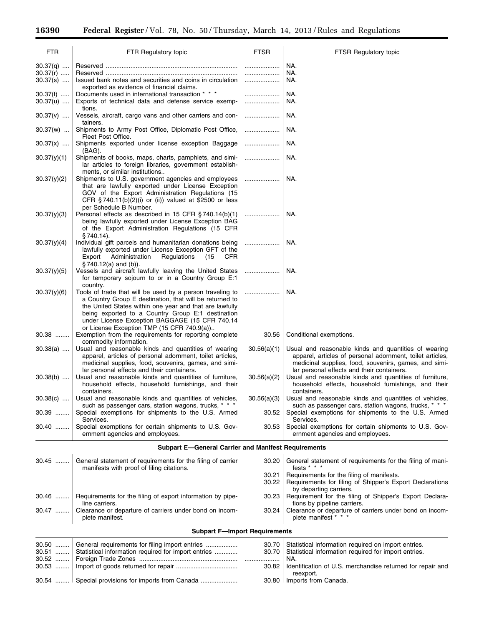| FTR                                                        | FTR Regulatory topic                                                                                                                                                                                                                                                                   | FTSR           | <b>FTSR Regulatory topic</b>                                                                                                                                                |  |  |
|------------------------------------------------------------|----------------------------------------------------------------------------------------------------------------------------------------------------------------------------------------------------------------------------------------------------------------------------------------|----------------|-----------------------------------------------------------------------------------------------------------------------------------------------------------------------------|--|--|
| $30.37(q)$                                                 |                                                                                                                                                                                                                                                                                        |                | NA.                                                                                                                                                                         |  |  |
| 30.37(r)                                                   |                                                                                                                                                                                                                                                                                        |                | NA.                                                                                                                                                                         |  |  |
| $30.37(s)$                                                 | Issued bank notes and securities and coins in circulation                                                                                                                                                                                                                              |                | NA.                                                                                                                                                                         |  |  |
| 30.37(t)                                                   | exported as evidence of financial claims.<br>Documents used in international transaction * * *                                                                                                                                                                                         |                | NA.                                                                                                                                                                         |  |  |
| $30.37(u)$                                                 | Exports of technical data and defense service exemp-<br>tions.                                                                                                                                                                                                                         |                | NA.                                                                                                                                                                         |  |  |
| $30.37(v)$                                                 | Vessels, aircraft, cargo vans and other carriers and con-<br>tainers.                                                                                                                                                                                                                  | .              | NA.                                                                                                                                                                         |  |  |
| $30.37(w)$                                                 | Shipments to Army Post Office, Diplomatic Post Office,<br>Fleet Post Office.                                                                                                                                                                                                           |                | NA.                                                                                                                                                                         |  |  |
| $30.37(x)$                                                 | Shipments exported under license exception Baggage<br>(BAG).                                                                                                                                                                                                                           |                | NA.                                                                                                                                                                         |  |  |
| 30.37(y)(1)                                                | Shipments of books, maps, charts, pamphlets, and simi-<br>lar articles to foreign libraries, government establish-<br>ments, or similar institutions                                                                                                                                   | .              | NA.                                                                                                                                                                         |  |  |
| 30.37(y)(2)                                                | Shipments to U.S. government agencies and employees<br>that are lawfully exported under License Exception<br>GOV of the Export Administration Regulations (15<br>CFR §740.11(b)(2)(i) or (ii)) valued at \$2500 or less<br>per Schedule B Number.                                      |                | NA.                                                                                                                                                                         |  |  |
| 30.37(y)(3)                                                | Personal effects as described in 15 CFR § 740.14(b)(1)<br>being lawfully exported under License Exception BAG<br>of the Export Administration Regulations (15 CFR<br>$$740.14$ ).                                                                                                      | .              | NA.                                                                                                                                                                         |  |  |
| 30.37(y)(4)                                                | Individual gift parcels and humanitarian donations being<br>lawfully exported under License Exception GFT of the<br>Administration<br>Regulations<br>Export<br>(15<br><b>CFR</b><br>$\S 740.12(a)$ and (b)).                                                                           | .              | NA.                                                                                                                                                                         |  |  |
| 30.37(y)(5)                                                | Vessels and aircraft lawfully leaving the United States<br>for temporary sojourn to or in a Country Group E:1<br>country.                                                                                                                                                              | .              | NA.                                                                                                                                                                         |  |  |
| 30.37(y)(6)                                                | Tools of trade that will be used by a person traveling to<br>a Country Group E destination, that will be returned to<br>the United States within one year and that are lawfully<br>being exported to a Country Group E:1 destination<br>under License Exception BAGGAGE (15 CFR 740.14 |                | NA.                                                                                                                                                                         |  |  |
| $30.38$                                                    | or License Exception TMP (15 CFR 740.9(a))<br>Exemption from the requirements for reporting complete<br>commodity information.                                                                                                                                                         | 30.56          | Conditional exemptions.                                                                                                                                                     |  |  |
| $30.38(a)$                                                 | Usual and reasonable kinds and quantities of wearing<br>apparel, articles of personal adornment, toilet articles,<br>medicinal supplies, food, souvenirs, games, and simi-                                                                                                             | 30.56(a)(1)    | Usual and reasonable kinds and quantities of wearing<br>apparel, articles of personal adornment, toilet articles,<br>medicinal supplies, food, souvenirs, games, and simi-  |  |  |
| $30.38(b)$                                                 | lar personal effects and their containers.<br>Usual and reasonable kinds and quantities of furniture,<br>household effects, household furnishings, and their<br>containers.                                                                                                            | 30.56(a)(2)    | lar personal effects and their containers.<br>Usual and reasonable kinds and quantities of furniture,<br>household effects, household furnishings, and their<br>containers. |  |  |
| $30.38(c)$                                                 | Usual and reasonable kinds and quantities of vehicles,<br>such as passenger cars, station wagons, trucks, * * *                                                                                                                                                                        | 30.56(a)(3)    | Usual and reasonable kinds and quantities of vehicles,<br>such as passenger cars, station wagons, trucks, * * *                                                             |  |  |
| 30.39                                                      | Special exemptions for shipments to the U.S. Armed<br>Services.                                                                                                                                                                                                                        | 30.52          | Special exemptions for shipments to the U.S. Armed<br>Services.                                                                                                             |  |  |
| 30.40                                                      | Special exemptions for certain shipments to U.S. Gov-<br>ernment agencies and employees.                                                                                                                                                                                               | 30.53          | Special exemptions for certain shipments to U.S. Gov-<br>ernment agencies and employees.                                                                                    |  |  |
| <b>Subpart E-General Carrier and Manifest Requirements</b> |                                                                                                                                                                                                                                                                                        |                |                                                                                                                                                                             |  |  |
| $30.45$                                                    | General statement of requirements for the filing of carrier                                                                                                                                                                                                                            | 30.20          | General statement of requirements for the filing of mani-                                                                                                                   |  |  |
|                                                            | manifests with proof of filing citations.                                                                                                                                                                                                                                              | 30.21<br>30.22 | fests $* * * *$<br>Requirements for the filing of manifests.<br>Requirements for filing of Shipper's Export Declarations                                                    |  |  |
| 30.46                                                      | Requirements for the filing of export information by pipe-                                                                                                                                                                                                                             | 30.23          | by departing carriers.<br>Requirement for the filing of Shipper's Export Declara-                                                                                           |  |  |
| 30.47                                                      | line carriers.<br>Clearance or departure of carriers under bond on incom-<br>plete manifest.                                                                                                                                                                                           | 30.24          | tions by pipeline carriers.<br>Clearance or departure of carriers under bond on incom-<br>plete manifest * * *                                                              |  |  |
| <b>Subpart F-Import Requirements</b>                       |                                                                                                                                                                                                                                                                                        |                |                                                                                                                                                                             |  |  |
| 30.50                                                      |                                                                                                                                                                                                                                                                                        | 30.70          | Statistical information required on import entries.                                                                                                                         |  |  |
| 30.51                                                      | Statistical information required for import entries                                                                                                                                                                                                                                    | 30.70          | Statistical information required for import entries.                                                                                                                        |  |  |
| $30.52$                                                    |                                                                                                                                                                                                                                                                                        |                | NA.                                                                                                                                                                         |  |  |
| $30.53$                                                    |                                                                                                                                                                                                                                                                                        | 30.82          | Identification of U.S. merchandise returned for repair and<br>reexport.                                                                                                     |  |  |
|                                                            | 30.54  Special provisions for imports from Canada                                                                                                                                                                                                                                      |                | 30.80   Imports from Canada.                                                                                                                                                |  |  |